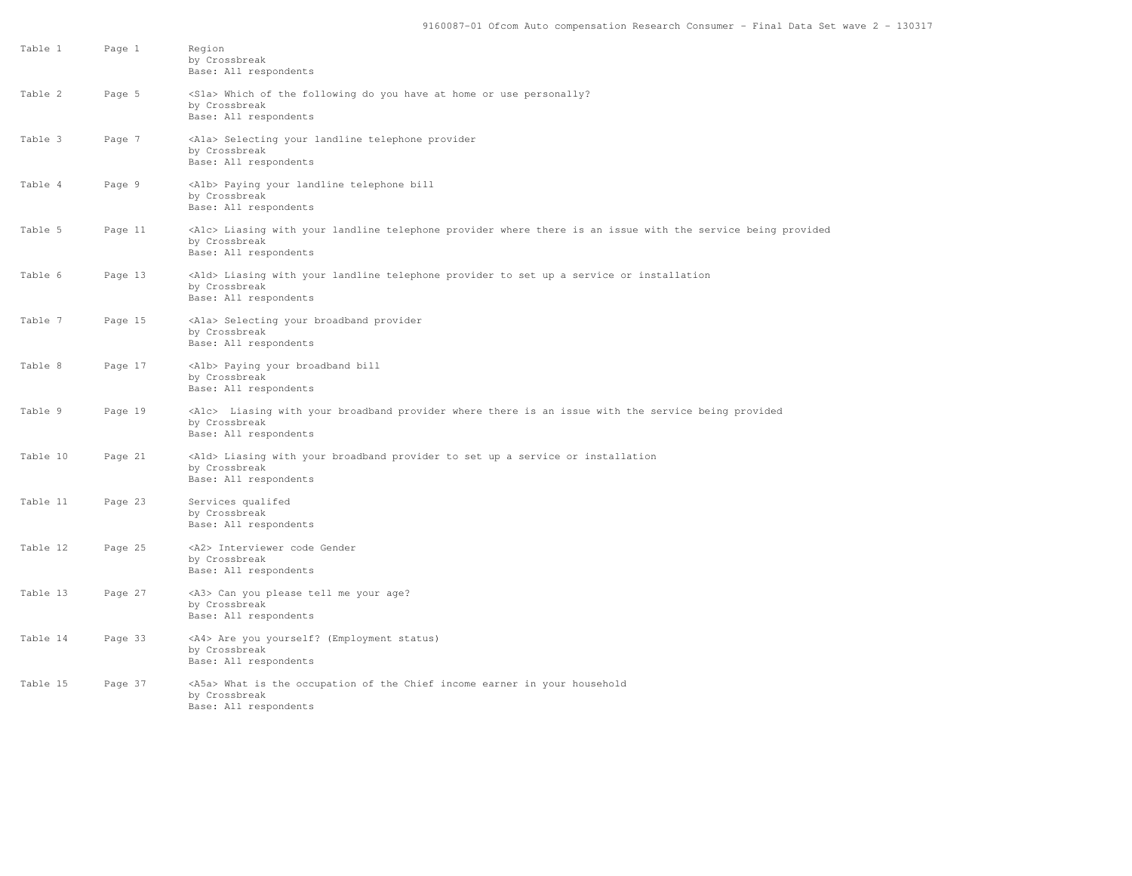| Table 1  | Page 1  | Region<br>by Crossbreak<br>Base: All respondents                                                                                                              |
|----------|---------|---------------------------------------------------------------------------------------------------------------------------------------------------------------|
| Table 2  | Page 5  | <sla> Which of the following do you have at home or use personally?<br/>by Crossbreak<br/>Base: All respondents</sla>                                         |
| Table 3  | Page 7  | <ala> Selecting your landline telephone provider<br/>by Crossbreak<br/>Base: All respondents</ala>                                                            |
| Table 4  | Page 9  | <alb> Paying your landline telephone bill<br/>by Crossbreak<br/>Base: All respondents</alb>                                                                   |
| Table 5  | Page 11 | <alc> Liasing with your landline telephone provider where there is an issue with the service being provided<br/>by Crossbreak<br/>Base: All respondents</alc> |
| Table 6  | Page 13 | <ald> Liasing with your landline telephone provider to set up a service or installation<br/>by Crossbreak<br/>Base: All respondents</ald>                     |
| Table 7  | Page 15 | <ala> Selecting your broadband provider<br/>by Crossbreak<br/>Base: All respondents</ala>                                                                     |
| Table 8  | Page 17 | <alb> Paying your broadband bill<br/>by Crossbreak<br/>Base: All respondents</alb>                                                                            |
| Table 9  | Page 19 | <alc> Liasing with your broadband provider where there is an issue with the service being provided<br/>by Crossbreak<br/>Base: All respondents</alc>          |
| Table 10 | Page 21 | <ald> Liasing with your broadband provider to set up a service or installation<br/>by Crossbreak<br/>Base: All respondents</ald>                              |
| Table 11 | Page 23 | Services qualifed<br>by Crossbreak<br>Base: All respondents                                                                                                   |
| Table 12 | Page 25 | <a2> Interviewer code Gender<br/>by Crossbreak<br/>Base: All respondents</a2>                                                                                 |
| Table 13 | Page 27 | <a3> Can you please tell me your age?<br/>by Crossbreak<br/>Base: All respondents</a3>                                                                        |
| Table 14 | Page 33 | <a4> Are you yourself? (Employment status)<br/>by Crossbreak<br/>Base: All respondents</a4>                                                                   |
| Table 15 | Page 37 | <a5a> What is the occupation of the Chief income earner in your household<br/>by Crossbreak<br/>Base: All respondents</a5a>                                   |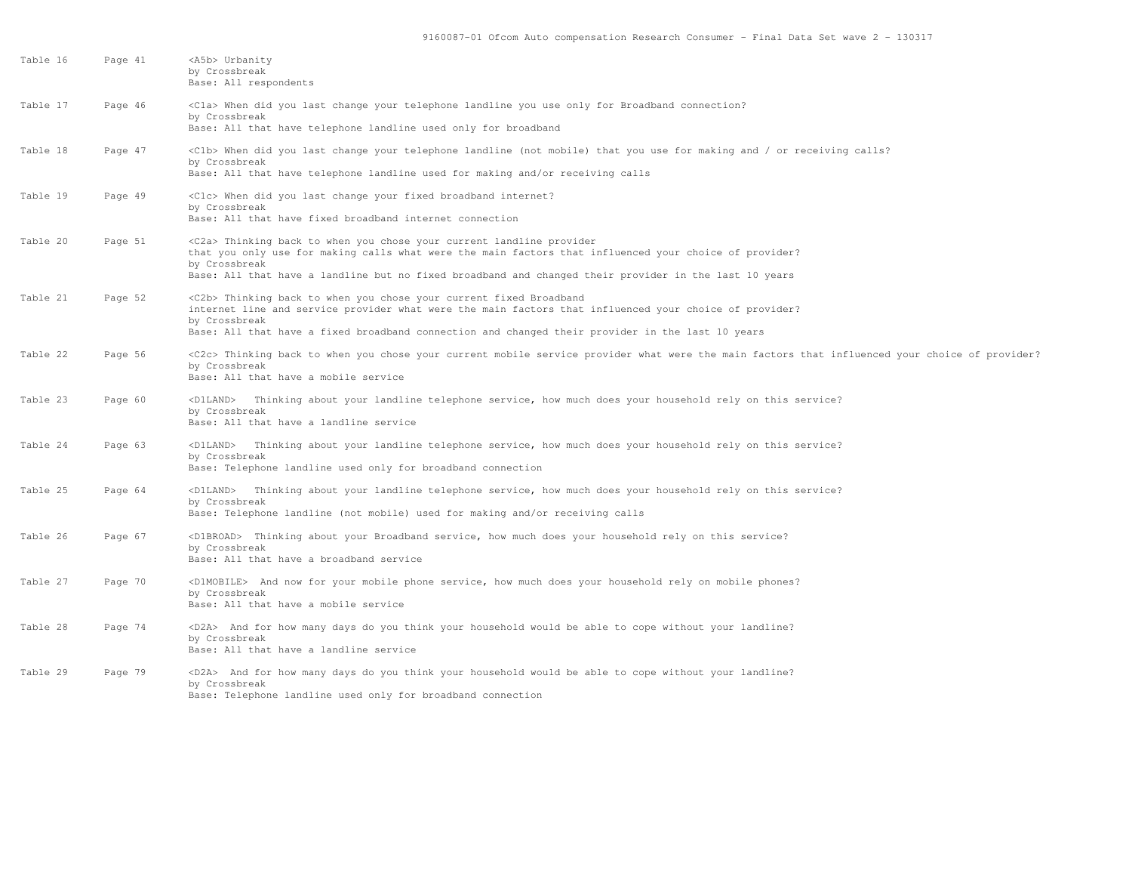| Table 16 | Page 41 | <a5b> Urbanity<br/>by Crossbreak<br/>Base: All respondents</a5b>                                                                                                                                                                                                                                                  |
|----------|---------|-------------------------------------------------------------------------------------------------------------------------------------------------------------------------------------------------------------------------------------------------------------------------------------------------------------------|
| Table 17 | Page 46 | <cla> When did you last change your telephone landline you use only for Broadband connection?<br/>by Crossbreak<br/>Base: All that have telephone landline used only for broadband</cla>                                                                                                                          |
| Table 18 | Page 47 | <clb> When did you last change your telephone landline (not mobile) that you use for making and / or receiving calls?<br/>by Crossbreak<br/>Base: All that have telephone landline used for making and/or receiving calls</clb>                                                                                   |
| Table 19 | Page 49 | <clc> When did you last change your fixed broadband internet?<br/>by Crossbreak<br/>Base: All that have fixed broadband internet connection</clc>                                                                                                                                                                 |
| Table 20 | Page 51 | <c2a> Thinking back to when you chose your current landline provider<br/>that you only use for making calls what were the main factors that influenced your choice of provider?<br/>by Crossbreak<br/>Base: All that have a landline but no fixed broadband and changed their provider in the last 10 years</c2a> |
| Table 21 | Page 52 | <c2b> Thinking back to when you chose your current fixed Broadband<br/>internet line and service provider what were the main factors that influenced your choice of provider?<br/>by Crossbreak<br/>Base: All that have a fixed broadband connection and changed their provider in the last 10 years</c2b>        |
| Table 22 | Page 56 | <c2c> Thinking back to when you chose your current mobile service provider what were the main factors that influenced your choice of provider?<br/>by Crossbreak<br/>Base: All that have a mobile service</c2c>                                                                                                   |
| Table 23 | Page 60 | <d1land> Thinking about your landline telephone service, how much does your household rely on this service?<br/>by Crossbreak<br/>Base: All that have a landline service</d1land>                                                                                                                                 |
| Table 24 | Page 63 | <d1land> Thinking about your landline telephone service, how much does your household rely on this service?<br/>by Crossbreak<br/>Base: Telephone landline used only for broadband connection</d1land>                                                                                                            |
| Table 25 | Page 64 | <d1land> Thinking about your landline telephone service, how much does your household rely on this service?<br/>by Crossbreak<br/>Base: Telephone landline (not mobile) used for making and/or receiving calls</d1land>                                                                                           |
| Table 26 | Page 67 | <d1broad> Thinking about your Broadband service, how much does your household rely on this service?<br/>by Crossbreak<br/>Base: All that have a broadband service</d1broad>                                                                                                                                       |
| Table 27 | Page 70 | <dimobile> And now for your mobile phone service, how much does your household rely on mobile phones?<br/>by Crossbreak<br/>Base: All that have a mobile service</dimobile>                                                                                                                                       |
| Table 28 | Page 74 | (D2A) And for how many days do you think your household would be able to cope without your landline?<br>by Crossbreak<br>Base: All that have a landline service                                                                                                                                                   |
| Table 29 | Page 79 | <d2a> And for how many days do you think your household would be able to cope without your landline?<br/>by Crossbreak<br/>Base: Telephone landline used only for broadband connection</d2a>                                                                                                                      |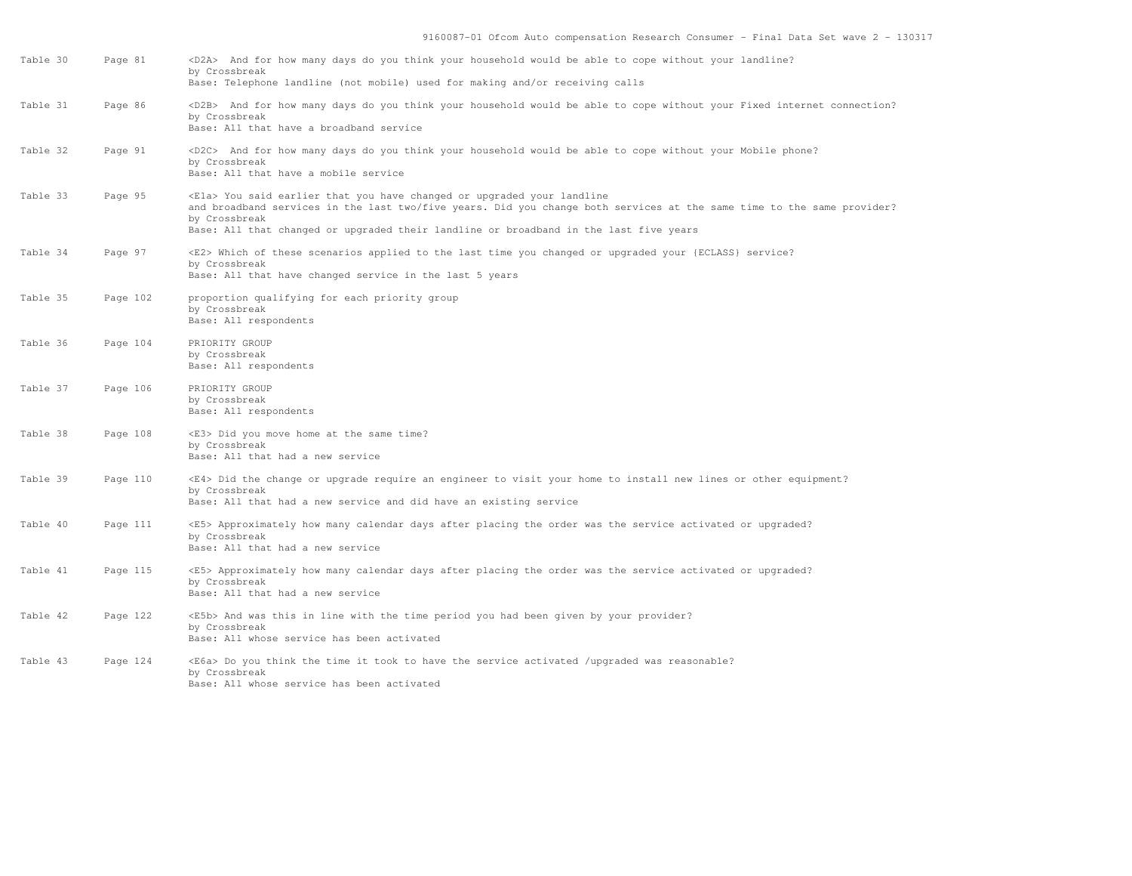| Table 30 | Page 81  | <d2a> And for how many days do you think your household would be able to cope without your landline?<br/>by Crossbreak<br/>Base: Telephone landline (not mobile) used for making and/or receiving calls</d2a>                                                                                                       |
|----------|----------|---------------------------------------------------------------------------------------------------------------------------------------------------------------------------------------------------------------------------------------------------------------------------------------------------------------------|
| Table 31 | Page 86  | <d2b> And for how many days do you think your household would be able to cope without your Fixed internet connection?<br/>by Crossbreak<br/>Base: All that have a broadband service</d2b>                                                                                                                           |
| Table 32 | Page 91  | <d2c> And for how many days do you think your household would be able to cope without your Mobile phone?<br/>by Crossbreak<br/>Base: All that have a mobile service</d2c>                                                                                                                                           |
| Table 33 | Page 95  | <ela> You said earlier that you have changed or upgraded your landline<br/>and broadband services in the last two/five years. Did you change both services at the same time to the same provider?<br/>by Crossbreak<br/>Base: All that changed or upgraded their landline or broadband in the last five years</ela> |
| Table 34 | Page 97  | <e2> Which of these scenarios applied to the last time you changed or upgraded your {ECLASS} service?<br/>by Crossbreak<br/>Base: All that have changed service in the last 5 years</e2>                                                                                                                            |
| Table 35 | Page 102 | proportion qualifying for each priority group<br>by Crossbreak<br>Base: All respondents                                                                                                                                                                                                                             |
| Table 36 | Page 104 | PRIORITY GROUP<br>by Crossbreak<br>Base: All respondents                                                                                                                                                                                                                                                            |
| Table 37 | Page 106 | PRIORITY GROUP<br>by Crossbreak<br>Base: All respondents                                                                                                                                                                                                                                                            |
| Table 38 | Page 108 | <e3> Did you move home at the same time?<br/>by Crossbreak<br/>Base: All that had a new service</e3>                                                                                                                                                                                                                |
| Table 39 | Page 110 | <e4> Did the change or upgrade require an engineer to visit your home to install new lines or other equipment?<br/>by Crossbreak<br/>Base: All that had a new service and did have an existing service</e4>                                                                                                         |
| Table 40 | Page 111 | <e5> Approximately how many calendar days after placing the order was the service activated or upgraded?<br/>by Crossbreak<br/>Base: All that had a new service</e5>                                                                                                                                                |
| Table 41 | Page 115 | <e5> Approximately how many calendar days after placing the order was the service activated or upgraded?<br/>by Crossbreak<br/>Base: All that had a new service</e5>                                                                                                                                                |
| Table 42 | Page 122 | <e5b> And was this in line with the time period you had been given by your provider?<br/>by Crossbreak<br/>Base: All whose service has been activated</e5b>                                                                                                                                                         |
| Table 43 | Page 124 | <e6a> Do you think the time it took to have the service activated /upgraded was reasonable?<br/>by Crossbreak<br/>Base: All whose service has been activated</e6a>                                                                                                                                                  |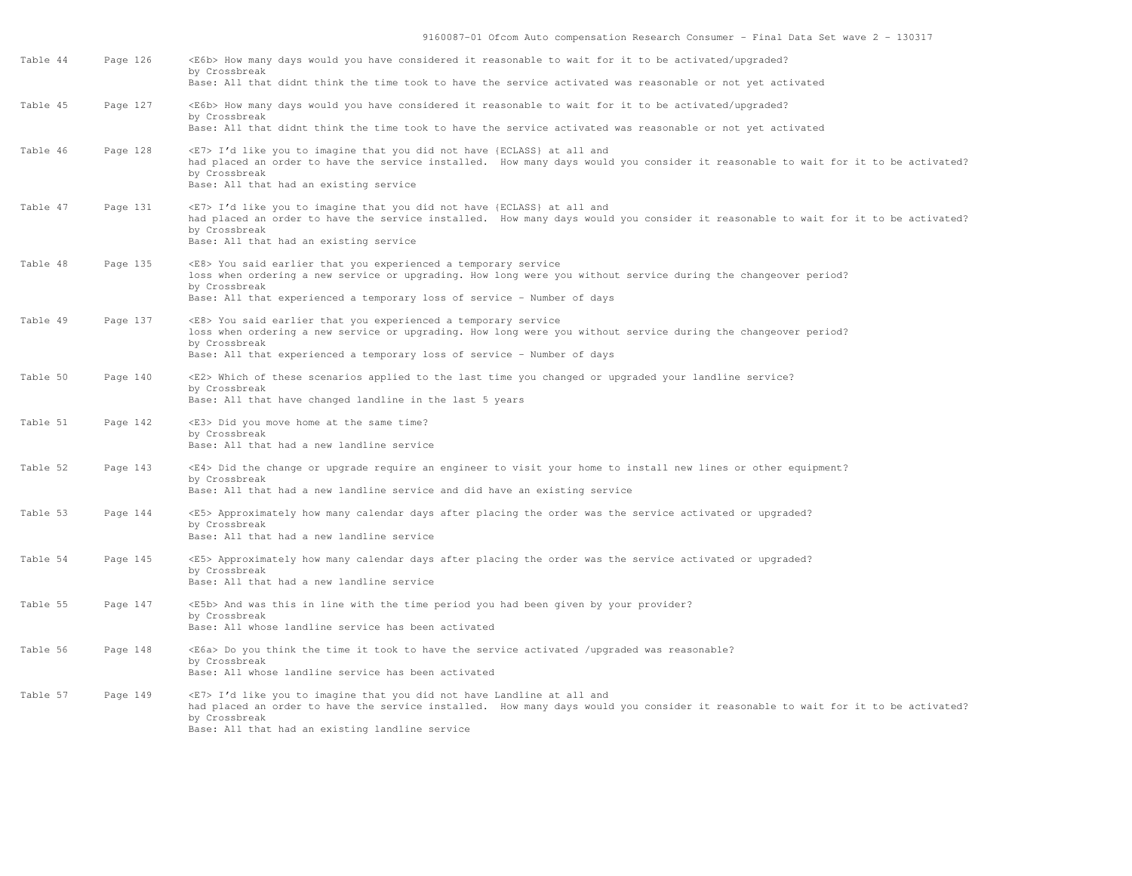| Table 44 | Page 126 | <e6b> How many days would you have considered it reasonable to wait for it to be activated/upgraded?<br/>by Crossbreak<br/>Base: All that didnt think the time took to have the service activated was reasonable or not yet activated</e6b>                                             |
|----------|----------|-----------------------------------------------------------------------------------------------------------------------------------------------------------------------------------------------------------------------------------------------------------------------------------------|
| Table 45 | Page 127 | <e6b> How many days would you have considered it reasonable to wait for it to be activated/upgraded?<br/>by Crossbreak<br/>Base: All that didnt think the time took to have the service activated was reasonable or not yet activated</e6b>                                             |
| Table 46 | Page 128 | <e7> I'd like you to imagine that you did not have {ECLASS} at all and<br/>had placed an order to have the service installed. How many days would you consider it reasonable to wait for it to be activated?<br/>by Crossbreak<br/>Base: All that had an existing service</e7>          |
| Table 47 | Page 131 | <e7> I'd like you to imagine that you did not have {ECLASS} at all and<br/>had placed an order to have the service installed. How many days would you consider it reasonable to wait for it to be activated?<br/>by Crossbreak<br/>Base: All that had an existing service</e7>          |
| Table 48 | Page 135 | <e8> You said earlier that you experienced a temporary service<br/>loss when ordering a new service or upgrading. How long were you without service during the changeover period?<br/>by Crossbreak<br/>Base: All that experienced a temporary loss of service - Number of days</e8>    |
| Table 49 | Page 137 | <e8> You said earlier that you experienced a temporary service<br/>loss when ordering a new service or upgrading. How long were you without service during the changeover period?<br/>by Crossbreak<br/>Base: All that experienced a temporary loss of service - Number of days</e8>    |
| Table 50 | Page 140 | <e2> Which of these scenarios applied to the last time you changed or upgraded your landline service?<br/>by Crossbreak<br/>Base: All that have changed landline in the last 5 years</e2>                                                                                               |
| Table 51 | Page 142 | <e3> Did you move home at the same time?<br/>by Crossbreak<br/>Base: All that had a new landline service</e3>                                                                                                                                                                           |
| Table 52 | Page 143 | <e4> Did the change or upgrade require an engineer to visit your home to install new lines or other equipment?<br/>by Crossbreak<br/>Base: All that had a new landline service and did have an existing service</e4>                                                                    |
| Table 53 | Page 144 | <e5> Approximately how many calendar days after placing the order was the service activated or upgraded?<br/>by Crossbreak<br/>Base: All that had a new landline service</e5>                                                                                                           |
| Table 54 | Page 145 | <e5> Approximately how many calendar days after placing the order was the service activated or upgraded?<br/>by Crossbreak<br/>Base: All that had a new landline service</e5>                                                                                                           |
| Table 55 | Page 147 | <e5b> And was this in line with the time period you had been given by your provider?<br/>by Crossbreak<br/>Base: All whose landline service has been activated</e5b>                                                                                                                    |
| Table 56 | Page 148 | <e6a> Do you think the time it took to have the service activated /upgraded was reasonable?<br/>by Crossbreak<br/>Base: All whose landline service has been activated</e6a>                                                                                                             |
| Table 57 | Page 149 | <e7> I'd like you to imagine that you did not have Landline at all and<br/>had placed an order to have the service installed. How many days would you consider it reasonable to wait for it to be activated?<br/>by Crossbreak<br/>Base: All that had an existing landline service</e7> |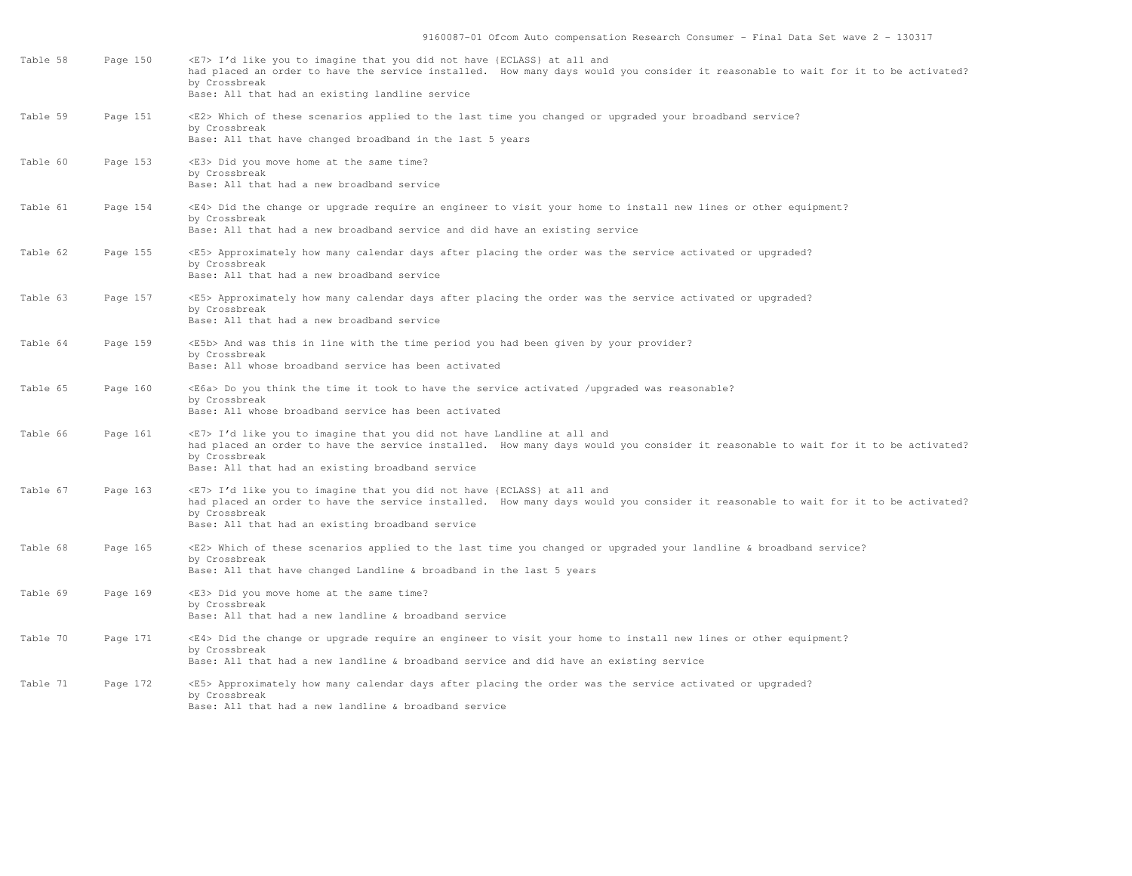| Table 58 | Page 150 | <e7> I'd like you to imagine that you did not have {ECLASS} at all and<br/>had placed an order to have the service installed. How many days would you consider it reasonable to wait for it to be activated?<br/>by Crossbreak<br/>Base: All that had an existing landline service</e7>  |
|----------|----------|------------------------------------------------------------------------------------------------------------------------------------------------------------------------------------------------------------------------------------------------------------------------------------------|
| Table 59 | Page 151 | <e2> Which of these scenarios applied to the last time you changed or upgraded your broadband service?<br/>by Crossbreak<br/>Base: All that have changed broadband in the last 5 years</e2>                                                                                              |
| Table 60 | Page 153 | <e3> Did you move home at the same time?<br/>by Crossbreak<br/>Base: All that had a new broadband service</e3>                                                                                                                                                                           |
| Table 61 | Page 154 | <e4> Did the change or upgrade require an engineer to visit your home to install new lines or other equipment?<br/>by Crossbreak<br/>Base: All that had a new broadband service and did have an existing service</e4>                                                                    |
| Table 62 | Page 155 | <e5> Approximately how many calendar days after placing the order was the service activated or upgraded?<br/>by Crossbreak<br/>Base: All that had a new broadband service</e5>                                                                                                           |
| Table 63 | Page 157 | <e5> Approximately how many calendar days after placing the order was the service activated or upgraded?<br/>by Crossbreak<br/>Base: All that had a new broadband service</e5>                                                                                                           |
| Table 64 | Page 159 | <e5b> And was this in line with the time period you had been given by your provider?<br/>by Crossbreak<br/>Base: All whose broadband service has been activated</e5b>                                                                                                                    |
| Table 65 | Page 160 | <e6a> Do you think the time it took to have the service activated /upgraded was reasonable?<br/>by Crossbreak<br/>Base: All whose broadband service has been activated</e6a>                                                                                                             |
| Table 66 | Page 161 | <e7> I'd like you to imagine that you did not have Landline at all and<br/>had placed an order to have the service installed. How many days would you consider it reasonable to wait for it to be activated?<br/>by Crossbreak<br/>Base: All that had an existing broadband service</e7> |
| Table 67 | Page 163 | <e7> I'd like you to imagine that you did not have {ECLASS} at all and<br/>had placed an order to have the service installed. How many days would you consider it reasonable to wait for it to be activated?<br/>by Crossbreak<br/>Base: All that had an existing broadband service</e7> |
| Table 68 | Page 165 | <e2> Which of these scenarios applied to the last time you changed or upgraded your landline &amp; broadband service?<br/>by Crossbreak<br/>Base: All that have changed Landline &amp; broadband in the last 5 years</e2>                                                                |
| Table 69 | Page 169 | <e3> Did you move home at the same time?<br/>by Crossbreak<br/>Base: All that had a new landline &amp; broadband service</e3>                                                                                                                                                            |
| Table 70 | Page 171 | <e4> Did the change or upgrade require an engineer to visit your home to install new lines or other equipment?<br/>by Crossbreak<br/>Base: All that had a new landline &amp; broadband service and did have an existing service</e4>                                                     |
| Table 71 | Page 172 | <e5> Approximately how many calendar days after placing the order was the service activated or upgraded?<br/>by Crossbreak<br/>Base: All that had a new landline &amp; broadband service</e5>                                                                                            |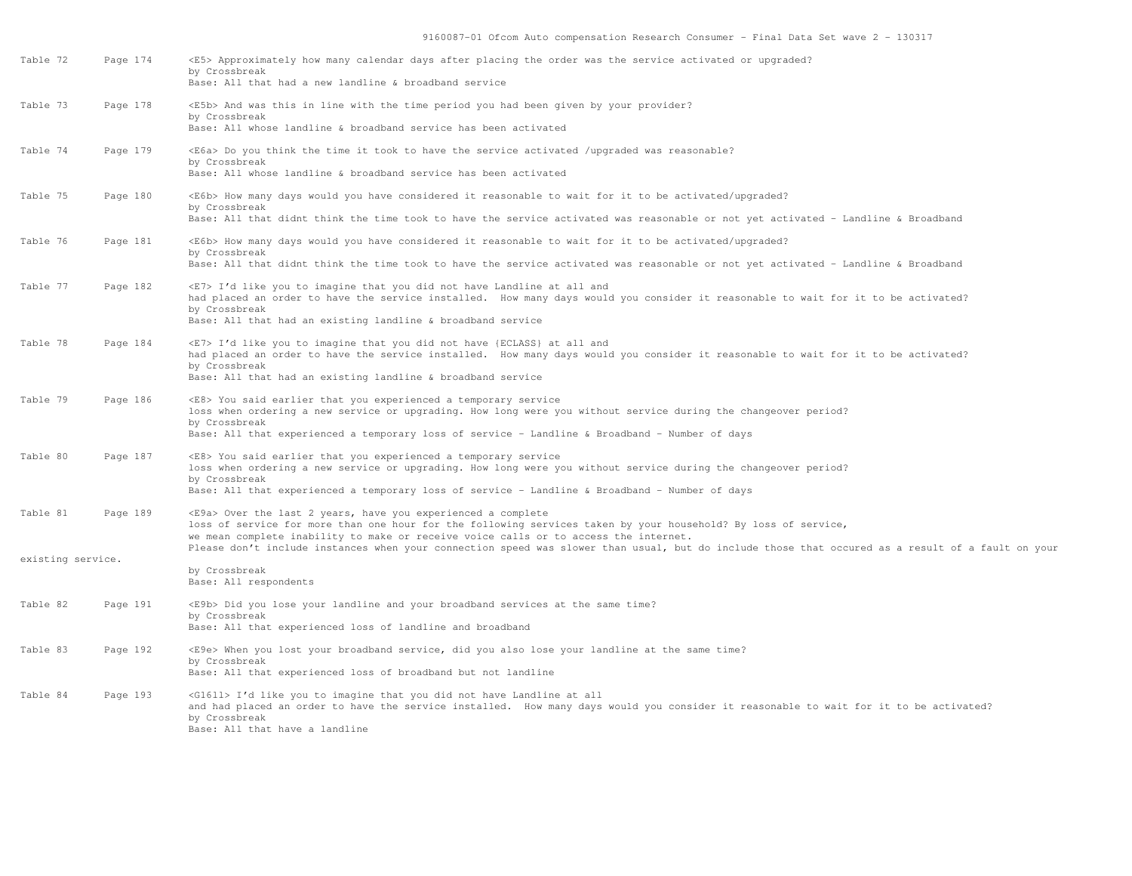| Table 72          | Page 174 | <e5> Approximately how many calendar days after placing the order was the service activated or upgraded?<br/>by Crossbreak<br/>Base: All that had a new landline &amp; broadband service</e5>                                                                                  |
|-------------------|----------|--------------------------------------------------------------------------------------------------------------------------------------------------------------------------------------------------------------------------------------------------------------------------------|
| Table 73          | Page 178 | <e5b> And was this in line with the time period you had been given by your provider?<br/>by Crossbreak<br/>Base: All whose landline &amp; broadband service has been activated</e5b>                                                                                           |
| Table 74          | Page 179 | <e6a> Do you think the time it took to have the service activated /upgraded was reasonable?<br/>by Crossbreak<br/>Base: All whose landline &amp; broadband service has been activated</e6a>                                                                                    |
| Table 75          | Page 180 | <e6b> How many days would you have considered it reasonable to wait for it to be activated/upqraded?<br/>by Crossbreak<br/>Base: All that didnt think the time took to have the service activated was reasonable or not yet activated - Landline &amp; Broadband</e6b>         |
| Table 76          | Page 181 | <e6b> How many days would you have considered it reasonable to wait for it to be activated/upqraded?<br/>by Crossbreak<br/>Base: All that didnt think the time took to have the service activated was reasonable or not yet activated - Landline &amp; Broadband</e6b>         |
| Table 77          | Page 182 | <e7> I'd like you to imagine that you did not have Landline at all and<br/>had placed an order to have the service installed. How many days would you consider it reasonable to wait for it to be activated?<br/>by Crossbreak</e7>                                            |
|                   |          | Base: All that had an existing landline & broadband service                                                                                                                                                                                                                    |
| Table 78          | Page 184 | <e7> I'd like you to imagine that you did not have {ECLASS} at all and<br/>had placed an order to have the service installed. How many days would you consider it reasonable to wait for it to be activated?<br/>by Crossbreak</e7>                                            |
|                   |          | Base: All that had an existing landline & broadband service                                                                                                                                                                                                                    |
| Table 79          | Page 186 | <e8> You said earlier that you experienced a temporary service<br/>loss when ordering a new service or upgrading. How long were you without service during the changeover period?<br/>by Crossbreak</e8>                                                                       |
|                   |          | Base: All that experienced a temporary loss of service - Landline & Broadband - Number of days                                                                                                                                                                                 |
| Table 80          | Page 187 | <e8> You said earlier that you experienced a temporary service<br/>loss when ordering a new service or upgrading. How long were you without service during the changeover period?<br/>by Crossbreak</e8>                                                                       |
|                   |          | Base: All that experienced a temporary loss of service - Landline & Broadband - Number of days                                                                                                                                                                                 |
| Table 81          | Page 189 | <e9a> Over the last 2 years, have you experienced a complete<br/>loss of service for more than one hour for the following services taken by your household? By loss of service,<br/>we mean complete inability to make or receive voice calls or to access the internet.</e9a> |
| existing service. |          | Please don't include instances when your connection speed was slower than usual, but do include those that occured as a result of a fault on your                                                                                                                              |
|                   |          | by Crossbreak<br>Base: All respondents                                                                                                                                                                                                                                         |
| Table 82          | Page 191 | <e9b> Did you lose your landline and your broadband services at the same time?<br/>by Crossbreak<br/>Base: All that experienced loss of landline and broadband</e9b>                                                                                                           |
| Table 83          | Page 192 | <e9e> When you lost your broadband service, did you also lose your landline at the same time?<br/>by Crossbreak<br/>Base: All that experienced loss of broadband but not landline</e9e>                                                                                        |
| Table 84          | Page 193 | <g1611> I'd like you to imagine that you did not have Landline at all<br/>and had placed an order to have the service installed. How many days would you consider it reasonable to wait for it to be activated?<br/>by Crossbreak<br/>Base: All that have a landline</g1611>   |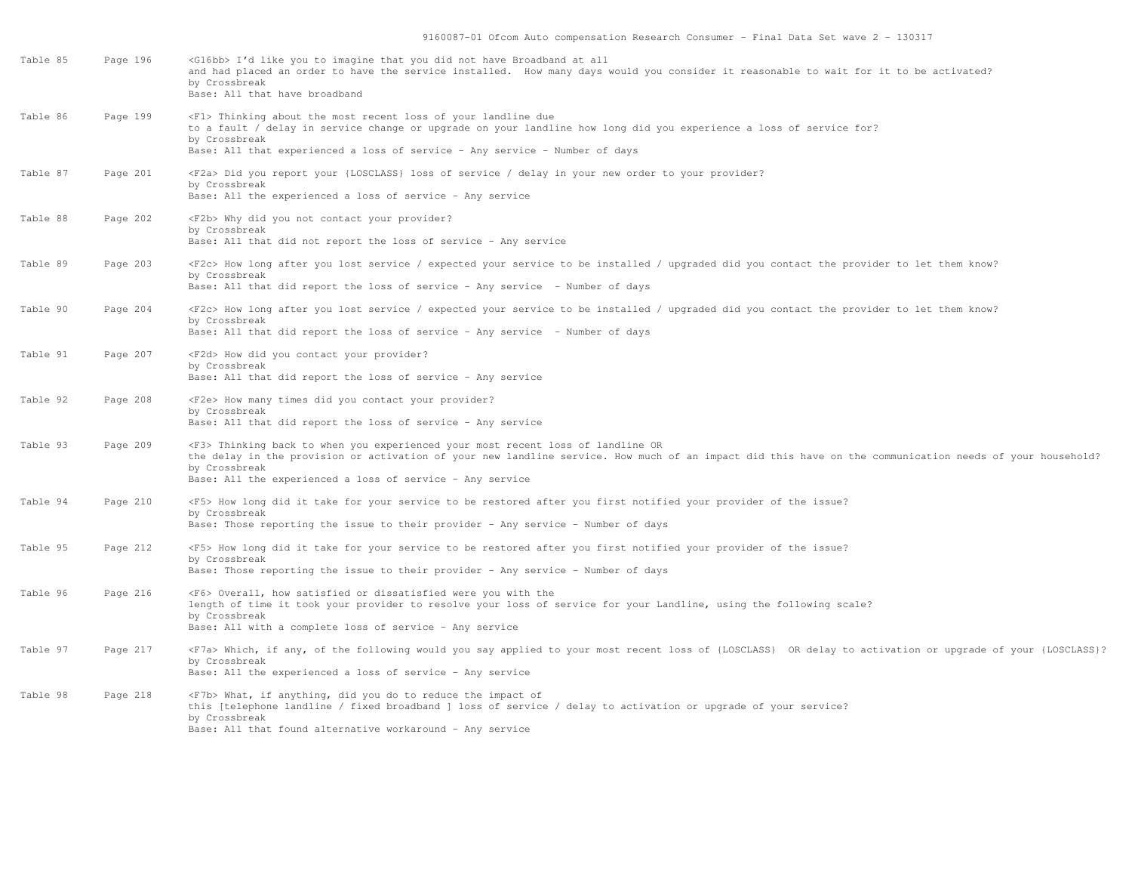| Table 85 | Page 196 | <g16bb> I'd like you to imagine that you did not have Broadband at all<br/>and had placed an order to have the service installed. How many days would you consider it reasonable to wait for it to be activated?<br/>by Crossbreak<br/>Base: All that have broadband</g16bb>                                                      |
|----------|----------|-----------------------------------------------------------------------------------------------------------------------------------------------------------------------------------------------------------------------------------------------------------------------------------------------------------------------------------|
| Table 86 | Page 199 | <f1> Thinking about the most recent loss of your landline due<br/>to a fault / delay in service change or upgrade on your landline how long did you experience a loss of service for?<br/>by Crossbreak<br/>Base: All that experienced a loss of service - Any service - Number of days</f1>                                      |
| Table 87 | Page 201 | <f2a> Did you report your {LOSCLASS} loss of service / delay in your new order to your provider?<br/>by Crossbreak</f2a>                                                                                                                                                                                                          |
|          |          | Base: All the experienced a loss of service - Any service                                                                                                                                                                                                                                                                         |
| Table 88 | Page 202 | <f2b> Why did you not contact your provider?<br/>by Crossbreak<br/>Base: All that did not report the loss of service - Any service</f2b>                                                                                                                                                                                          |
| Table 89 | Page 203 | <f2c> How long after you lost service / expected your service to be installed / upgraded did you contact the provider to let them know?<br/>by Crossbreak<br/>Base: All that did report the loss of service - Any service - Number of days</f2c>                                                                                  |
| Table 90 | Page 204 | <f2c> How long after you lost service / expected your service to be installed / upgraded did you contact the provider to let them know?<br/>by Crossbreak</f2c>                                                                                                                                                                   |
|          |          | Base: All that did report the loss of service - Any service - Number of days                                                                                                                                                                                                                                                      |
| Table 91 | Page 207 | <f2d> How did you contact your provider?<br/>by Crossbreak<br/>Base: All that did report the loss of service - Any service</f2d>                                                                                                                                                                                                  |
| Table 92 | Page 208 | <f2e> How many times did you contact your provider?</f2e>                                                                                                                                                                                                                                                                         |
|          |          | by Crossbreak<br>Base: All that did report the loss of service - Any service                                                                                                                                                                                                                                                      |
| Table 93 | Page 209 | <f3> Thinking back to when you experienced your most recent loss of landline OR<br/>the delay in the provision or activation of your new landline service. How much of an impact did this have on the communication needs of your household?<br/>by Crossbreak<br/>Base: All the experienced a loss of service - Any service</f3> |
| Table 94 | Page 210 | <f5> How long did it take for your service to be restored after you first notified your provider of the issue?</f5>                                                                                                                                                                                                               |
|          |          | by Crossbreak<br>Base: Those reporting the issue to their provider - Any service - Number of days                                                                                                                                                                                                                                 |
| Table 95 | Page 212 | <f5> How long did it take for your service to be restored after you first notified your provider of the issue?<br/>by Crossbreak<br/>Base: Those reporting the issue to their provider - Any service - Number of days</f5>                                                                                                        |
| Table 96 | Page 216 | <f6> Overall, how satisfied or dissatisfied were you with the<br/>length of time it took your provider to resolve your loss of service for your Landline, using the following scale?<br/>by Crossbreak<br/>Base: All with a complete loss of service - Any service</f6>                                                           |
| Table 97 | Page 217 | <f7a> Which, if any, of the following would you say applied to your most recent loss of {LOSCLASS} OR delay to activation or upgrade of your {LOSCLASS}?<br/>by Crossbreak<br/>Base: All the experienced a loss of service - Any service</f7a>                                                                                    |
| Table 98 | Page 218 | <f7b> What, if anything, did you do to reduce the impact of<br/>this [telephone landline / fixed broadband ] loss of service / delay to activation or upgrade of your service?<br/>by Crossbreak<br/>Base: All that found alternative workaround - Any service</f7b>                                                              |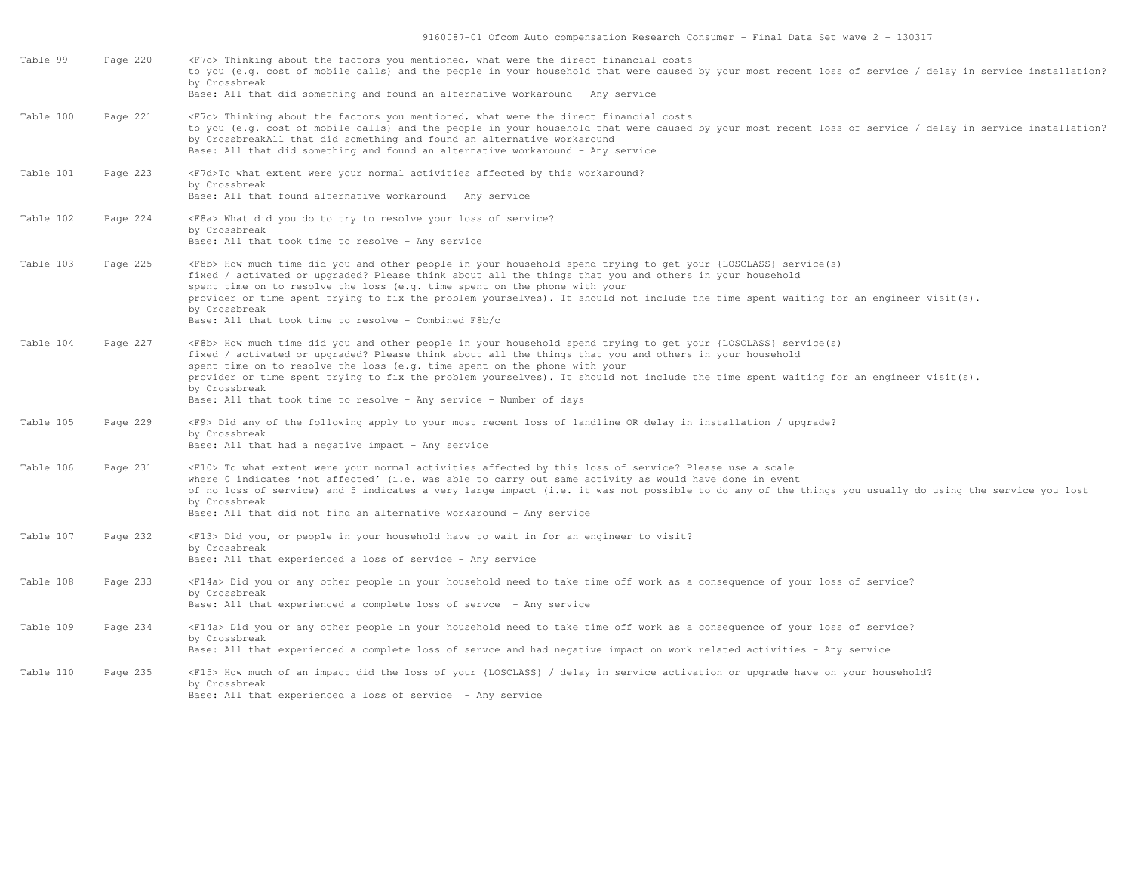| Table 99  | Page 220 | <f7c> Thinking about the factors you mentioned, what were the direct financial costs<br/>to you (e.g. cost of mobile calls) and the people in your household that were caused by your most recent loss of service / delay in service installation?<br/>by Crossbreak<br/>Base: All that did something and found an alternative workaround - Any service</f7c>                                                                                                                                                                                  |
|-----------|----------|------------------------------------------------------------------------------------------------------------------------------------------------------------------------------------------------------------------------------------------------------------------------------------------------------------------------------------------------------------------------------------------------------------------------------------------------------------------------------------------------------------------------------------------------|
| Table 100 | Page 221 | <f7c> Thinking about the factors you mentioned, what were the direct financial costs<br/>to you (e.g. cost of mobile calls) and the people in your household that were caused by your most recent loss of service / delay in service installation?<br/>by CrossbreakAll that did something and found an alternative workaround<br/>Base: All that did something and found an alternative workaround - Any service</f7c>                                                                                                                        |
| Table 101 | Page 223 | <f7d>To what extent were your normal activities affected by this workaround?<br/>by Crossbreak<br/>Base: All that found alternative workaround - Any service</f7d>                                                                                                                                                                                                                                                                                                                                                                             |
| Table 102 | Page 224 | <f8a> What did you do to try to resolve your loss of service?<br/>by Crossbreak<br/>Base: All that took time to resolve - Any service</f8a>                                                                                                                                                                                                                                                                                                                                                                                                    |
| Table 103 | Page 225 | <f8b> How much time did you and other people in your household spend trying to get your {LOSCLASS} service(s)<br/>fixed / activated or upgraded? Please think about all the things that you and others in your household<br/>spent time on to resolve the loss (e.g. time spent on the phone with your<br/>provider or time spent trying to fix the problem yourselves). It should not include the time spent waiting for an engineer visit(s).<br/>by Crossbreak<br/>Base: All that took time to resolve - Combined F8b/c</f8b>               |
| Table 104 | Page 227 | <f8b> How much time did you and other people in your household spend trying to get your {LOSCLASS} service(s)<br/>fixed / activated or upgraded? Please think about all the things that you and others in your household<br/>spent time on to resolve the loss (e.g. time spent on the phone with your<br/>provider or time spent trying to fix the problem yourselves). It should not include the time spent waiting for an engineer visit(s).<br/>by Crossbreak<br/>Base: All that took time to resolve - Any service - Number of days</f8b> |
| Table 105 | Page 229 | <f9> Did any of the following apply to your most recent loss of landline OR delay in installation / upgrade?<br/>by Crossbreak<br/>Base: All that had a negative impact - Any service</f9>                                                                                                                                                                                                                                                                                                                                                     |
| Table 106 | Page 231 | <f10> To what extent were your normal activities affected by this loss of service? Please use a scale<br/>where 0 indicates 'not affected' (i.e. was able to carry out same activity as would have done in event<br/>of no loss of service) and 5 indicates a very large impact (i.e. it was not possible to do any of the things you usually do using the service you lost<br/>by Crossbreak<br/>Base: All that did not find an alternative workaround - Any service</f10>                                                                    |
| Table 107 | Page 232 | <f13> Did you, or people in your household have to wait in for an engineer to visit?<br/>by Crossbreak<br/>Base: All that experienced a loss of service - Any service</f13>                                                                                                                                                                                                                                                                                                                                                                    |
| Table 108 | Page 233 | <f14a> Did you or any other people in your household need to take time off work as a consequence of your loss of service?<br/>by Crossbreak<br/>Base: All that experienced a complete loss of servce - Any service</f14a>                                                                                                                                                                                                                                                                                                                      |
| Table 109 | Page 234 | <f14a> Did you or any other people in your household need to take time off work as a consequence of your loss of service?<br/>by Crossbreak<br/>Base: All that experienced a complete loss of servce and had negative impact on work related activities - Any service</f14a>                                                                                                                                                                                                                                                                   |
| Table 110 | Page 235 | <f15> How much of an impact did the loss of your {LOSCLASS} / delay in service activation or upgrade have on your household?<br/>by Crossbreak<br/>Base: All that experienced a loss of service - Any service</f15>                                                                                                                                                                                                                                                                                                                            |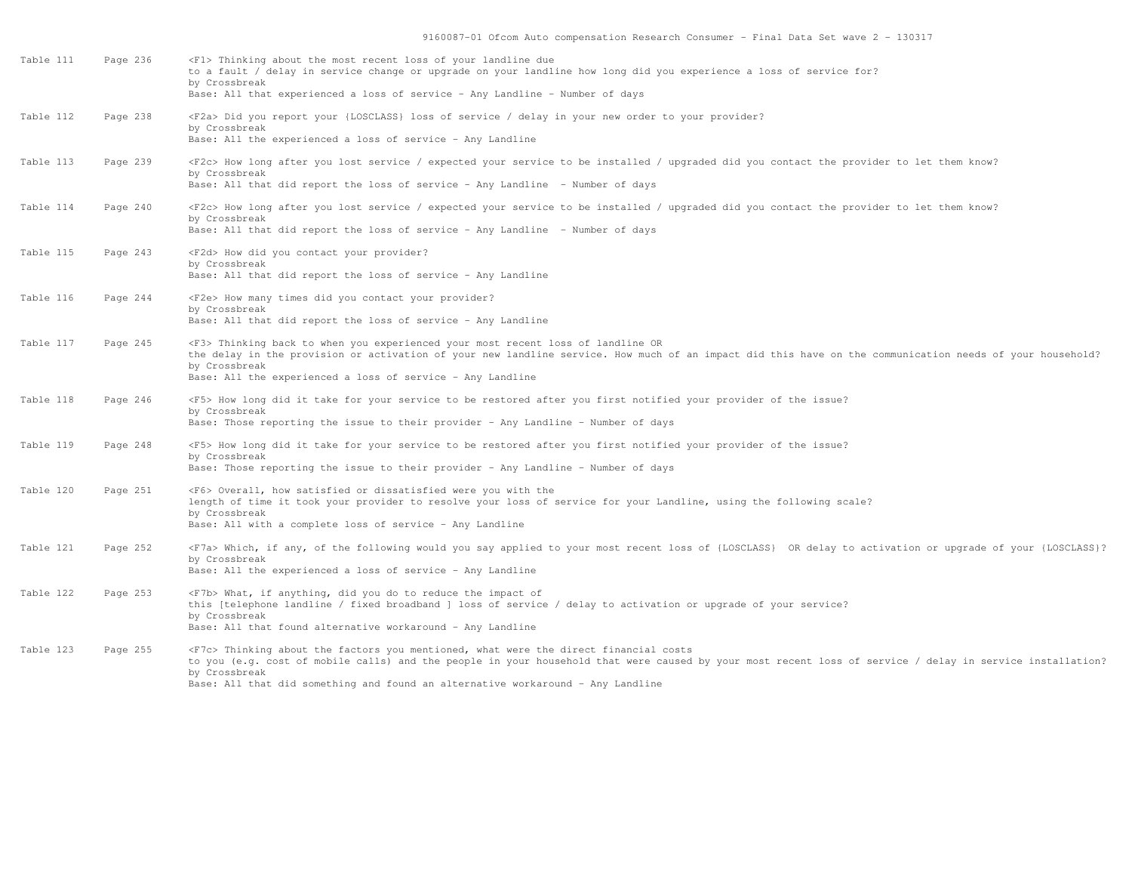| Table 111 | Page 236 | <f1> Thinking about the most recent loss of your landline due<br/>to a fault / delay in service change or upgrade on your landline how long did you experience a loss of service for?<br/>by Crossbreak<br/>Base: All that experienced a loss of service - Any Landline - Number of days</f1>                                                                  |
|-----------|----------|----------------------------------------------------------------------------------------------------------------------------------------------------------------------------------------------------------------------------------------------------------------------------------------------------------------------------------------------------------------|
| Table 112 | Page 238 | <f2a> Did you report your {LOSCLASS} loss of service / delay in your new order to your provider?<br/>by Crossbreak<br/>Base: All the experienced a loss of service - Any Landline</f2a>                                                                                                                                                                        |
| Table 113 | Page 239 | <f2c> How long after you lost service / expected your service to be installed / upgraded did you contact the provider to let them know?<br/>by Crossbreak<br/>Base: All that did report the loss of service - Any Landline - Number of days</f2c>                                                                                                              |
| Table 114 | Page 240 | <f2c> How long after you lost service / expected your service to be installed / upgraded did you contact the provider to let them know?<br/>by Crossbreak<br/>Base: All that did report the loss of service - Any Landline - Number of days</f2c>                                                                                                              |
| Table 115 | Page 243 | <f2d> How did you contact your provider?<br/>by Crossbreak<br/>Base: All that did report the loss of service - Any Landline</f2d>                                                                                                                                                                                                                              |
| Table 116 | Page 244 | <f2e> How many times did you contact your provider?<br/>by Crossbreak<br/>Base: All that did report the loss of service - Any Landline</f2e>                                                                                                                                                                                                                   |
| Table 117 | Page 245 | <f3> Thinking back to when you experienced your most recent loss of landline OR<br/>the delay in the provision or activation of your new landline service. How much of an impact did this have on the communication needs of your household?<br/>by Crossbreak<br/>Base: All the experienced a loss of service - Any Landline</f3>                             |
| Table 118 | Page 246 | <f5> How long did it take for your service to be restored after you first notified your provider of the issue?<br/>by Crossbreak<br/>Base: Those reporting the issue to their provider - Any Landline - Number of days</f5>                                                                                                                                    |
| Table 119 | Page 248 | <f5> How long did it take for your service to be restored after you first notified your provider of the issue?<br/>by Crossbreak<br/>Base: Those reporting the issue to their provider - Any Landline - Number of days</f5>                                                                                                                                    |
| Table 120 | Page 251 | <f6> Overall, how satisfied or dissatisfied were you with the<br/>length of time it took your provider to resolve your loss of service for your Landline, using the following scale?<br/>by Crossbreak<br/>Base: All with a complete loss of service - Any Landline</f6>                                                                                       |
| Table 121 | Page 252 | <f7a> Which, if any, of the following would you say applied to your most recent loss of {LOSCLASS} OR delay to activation or upgrade of your {LOSCLASS}?<br/>by Crossbreak<br/>Base: All the experienced a loss of service - Any Landline</f7a>                                                                                                                |
| Table 122 | Page 253 | <f7b> What, if anything, did you do to reduce the impact of<br/>this [telephone landline / fixed broadband ] loss of service / delay to activation or upgrade of your service?<br/>by Crossbreak<br/>Base: All that found alternative workaround - Any Landline</f7b>                                                                                          |
| Table 123 | Page 255 | <f7c> Thinking about the factors you mentioned, what were the direct financial costs<br/>to you (e.g. cost of mobile calls) and the people in your household that were caused by your most recent loss of service / delay in service installation?<br/>by Crossbreak<br/>Base: All that did something and found an alternative workaround - Any Landline</f7c> |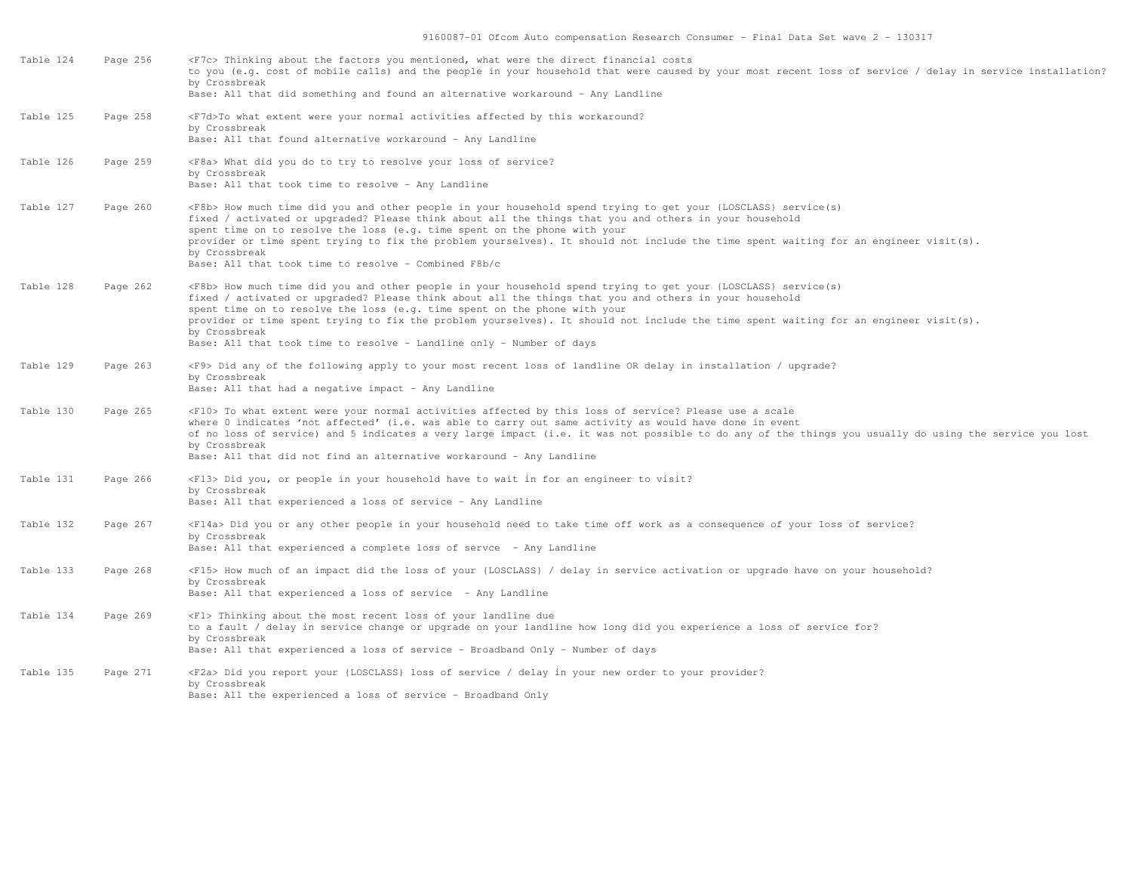| Table 124 | Page 256 | <f7c> Thinking about the factors you mentioned, what were the direct financial costs<br/>to you (e.g. cost of mobile calls) and the people in your household that were caused by your most recent loss of service / delay in service installation?<br/>by Crossbreak<br/>Base: All that did something and found an alternative workaround - Any Landline</f7c>                                                                                                                                                                                   |
|-----------|----------|--------------------------------------------------------------------------------------------------------------------------------------------------------------------------------------------------------------------------------------------------------------------------------------------------------------------------------------------------------------------------------------------------------------------------------------------------------------------------------------------------------------------------------------------------|
| Table 125 | Page 258 | <f7d>To what extent were your normal activities affected by this workaround?<br/>by Crossbreak<br/>Base: All that found alternative workaround - Any Landline</f7d>                                                                                                                                                                                                                                                                                                                                                                              |
| Table 126 | Page 259 | <f8a> What did you do to try to resolve your loss of service?<br/>by Crossbreak<br/>Base: All that took time to resolve - Any Landline</f8a>                                                                                                                                                                                                                                                                                                                                                                                                     |
| Table 127 | Page 260 | <f8b> How much time did you and other people in your household spend trying to get your {LOSCLASS} service(s)<br/>fixed / activated or upgraded? Please think about all the things that you and others in your household<br/>spent time on to resolve the loss (e.g. time spent on the phone with your<br/>provider or time spent trying to fix the problem yourselves). It should not include the time spent waiting for an engineer visit(s).<br/>by Crossbreak<br/>Base: All that took time to resolve - Combined F8b/c</f8b>                 |
| Table 128 | Page 262 | <f8b> How much time did you and other people in your household spend trying to get your {LOSCLASS} service(s)<br/>fixed / activated or upgraded? Please think about all the things that you and others in your household<br/>spent time on to resolve the loss (e.g. time spent on the phone with your<br/>provider or time spent trying to fix the problem yourselves). It should not include the time spent waiting for an engineer visit(s).<br/>by Crossbreak<br/>Base: All that took time to resolve - Landline only - Number of days</f8b> |
| Table 129 | Page 263 | <f9> Did any of the following apply to your most recent loss of landline OR delay in installation / upgrade?<br/>by Crossbreak<br/>Base: All that had a negative impact - Any Landline</f9>                                                                                                                                                                                                                                                                                                                                                      |
| Table 130 | Page 265 | <f10> To what extent were your normal activities affected by this loss of service? Please use a scale<br/>where 0 indicates 'not affected' (i.e. was able to carry out same activity as would have done in event<br/>of no loss of service) and 5 indicates a very large impact (i.e. it was not possible to do any of the things you usually do using the service you lost<br/>by Crossbreak<br/>Base: All that did not find an alternative workaround - Any Landline</f10>                                                                     |
| Table 131 | Page 266 | <f13> Did you, or people in your household have to wait in for an engineer to visit?<br/>by Crossbreak<br/>Base: All that experienced a loss of service - Any Landline</f13>                                                                                                                                                                                                                                                                                                                                                                     |
| Table 132 | Page 267 | <f14a> Did you or any other people in your household need to take time off work as a consequence of your loss of service?<br/>by Crossbreak<br/>Base: All that experienced a complete loss of servce - Any Landline</f14a>                                                                                                                                                                                                                                                                                                                       |
| Table 133 | Page 268 | <f15> How much of an impact did the loss of your {LOSCLASS} / delay in service activation or upgrade have on your household?<br/>by Crossbreak<br/>Base: All that experienced a loss of service - Any Landline</f15>                                                                                                                                                                                                                                                                                                                             |
| Table 134 | Page 269 | <f1> Thinking about the most recent loss of your landline due<br/>to a fault / delay in service change or upgrade on your landline how long did you experience a loss of service for?<br/>by Crossbreak<br/>Base: All that experienced a loss of service - Broadband Only - Number of days</f1>                                                                                                                                                                                                                                                  |
| Table 135 | Page 271 | <f2a> Did you report your {LOSCLASS} loss of service / delay in your new order to your provider?<br/>by Crossbreak<br/>Base: All the experienced a loss of service - Broadband Only</f2a>                                                                                                                                                                                                                                                                                                                                                        |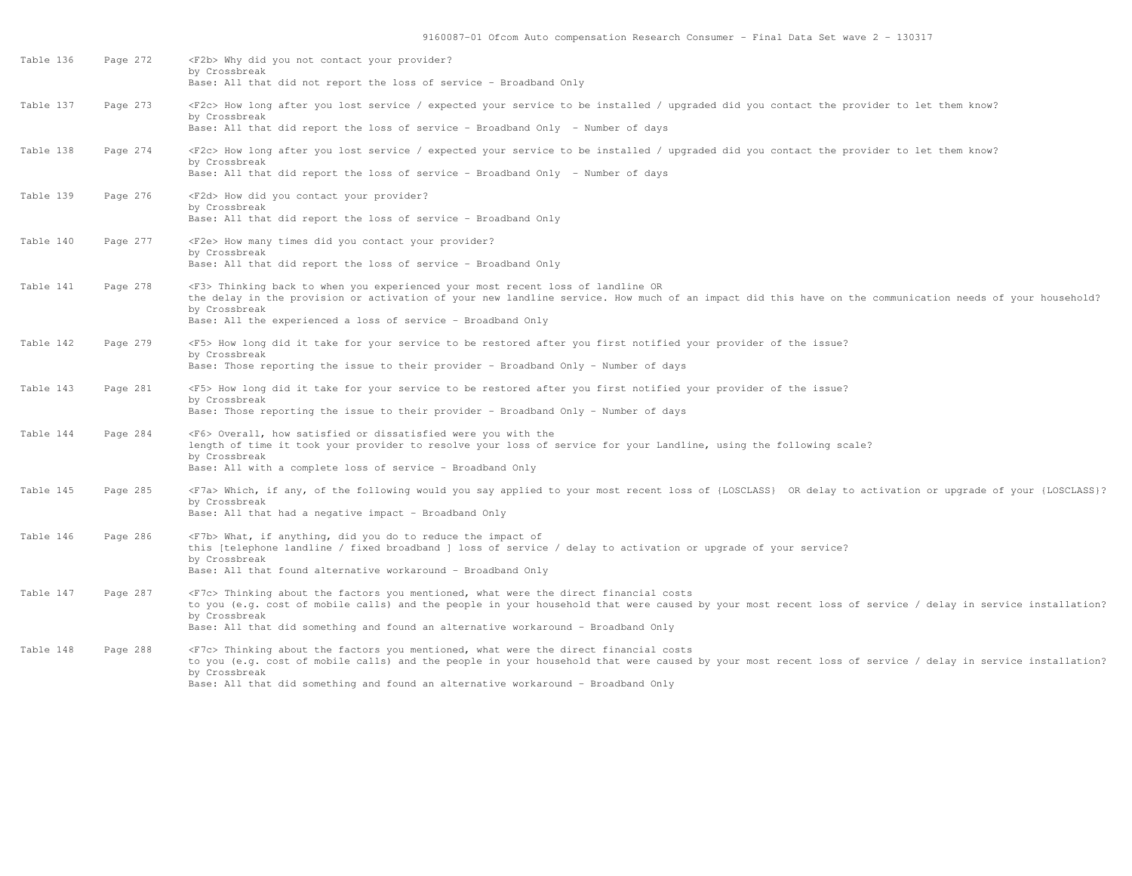| Table 136 | Page 272 | <f2b> Why did you not contact your provider?<br/>by Crossbreak<br/>Base: All that did not report the loss of service - Broadband Only</f2b>                                                                                                                                                                                                                      |
|-----------|----------|------------------------------------------------------------------------------------------------------------------------------------------------------------------------------------------------------------------------------------------------------------------------------------------------------------------------------------------------------------------|
| Table 137 | Page 273 | <f2c> How long after you lost service / expected your service to be installed / upgraded did you contact the provider to let them know?<br/>by Crossbreak<br/>Base: All that did report the loss of service - Broadband Only - Number of days</f2c>                                                                                                              |
| Table 138 | Page 274 | <f2c> How long after you lost service / expected your service to be installed / upgraded did you contact the provider to let them know?<br/>by Crossbreak<br/>Base: All that did report the loss of service - Broadband Only - Number of days</f2c>                                                                                                              |
| Table 139 | Page 276 | <f2d> How did you contact your provider?<br/>by Crossbreak<br/>Base: All that did report the loss of service - Broadband Only</f2d>                                                                                                                                                                                                                              |
| Table 140 | Page 277 | <f2e> How many times did you contact your provider?<br/>by Crossbreak<br/>Base: All that did report the loss of service - Broadband Only</f2e>                                                                                                                                                                                                                   |
| Table 141 | Page 278 | <f3> Thinking back to when you experienced your most recent loss of landline OR<br/>the delay in the provision or activation of your new landline service. How much of an impact did this have on the communication needs of your household?<br/>by Crossbreak<br/>Base: All the experienced a loss of service - Broadband Only</f3>                             |
| Table 142 | Page 279 | <f5> How long did it take for your service to be restored after you first notified your provider of the issue?<br/>by Crossbreak<br/>Base: Those reporting the issue to their provider - Broadband Only - Number of days</f5>                                                                                                                                    |
| Table 143 | Page 281 | <f5> How long did it take for your service to be restored after you first notified your provider of the issue?<br/>by Crossbreak<br/>Base: Those reporting the issue to their provider - Broadband Only - Number of days</f5>                                                                                                                                    |
| Table 144 | Page 284 | <f6> Overall, how satisfied or dissatisfied were you with the<br/>length of time it took your provider to resolve your loss of service for your Landline, using the following scale?<br/>by Crossbreak<br/>Base: All with a complete loss of service - Broadband Only</f6>                                                                                       |
| Table 145 | Page 285 | <f7a> Which, if any, of the following would you say applied to your most recent loss of {LOSCLASS} OR delay to activation or upgrade of your {LOSCLASS}?<br/>by Crossbreak<br/>Base: All that had a negative impact - Broadband Only</f7a>                                                                                                                       |
| Table 146 | Page 286 | <f7b> What, if anything, did you do to reduce the impact of<br/>this [telephone landline / fixed broadband ] loss of service / delay to activation or upgrade of your service?<br/>by Crossbreak<br/>Base: All that found alternative workaround - Broadband Only</f7b>                                                                                          |
| Table 147 | Page 287 | <f7c> Thinking about the factors you mentioned, what were the direct financial costs<br/>to you (e.g. cost of mobile calls) and the people in your household that were caused by your most recent loss of service / delay in service installation?<br/>by Crossbreak<br/>Base: All that did something and found an alternative workaround - Broadband Only</f7c> |
| Table 148 | Page 288 | <f7c> Thinking about the factors you mentioned, what were the direct financial costs<br/>to you (e.g. cost of mobile calls) and the people in your household that were caused by your most recent loss of service / delay in service installation?<br/>by Crossbreak<br/>Base: All that did something and found an alternative workaround - Broadband Only</f7c> |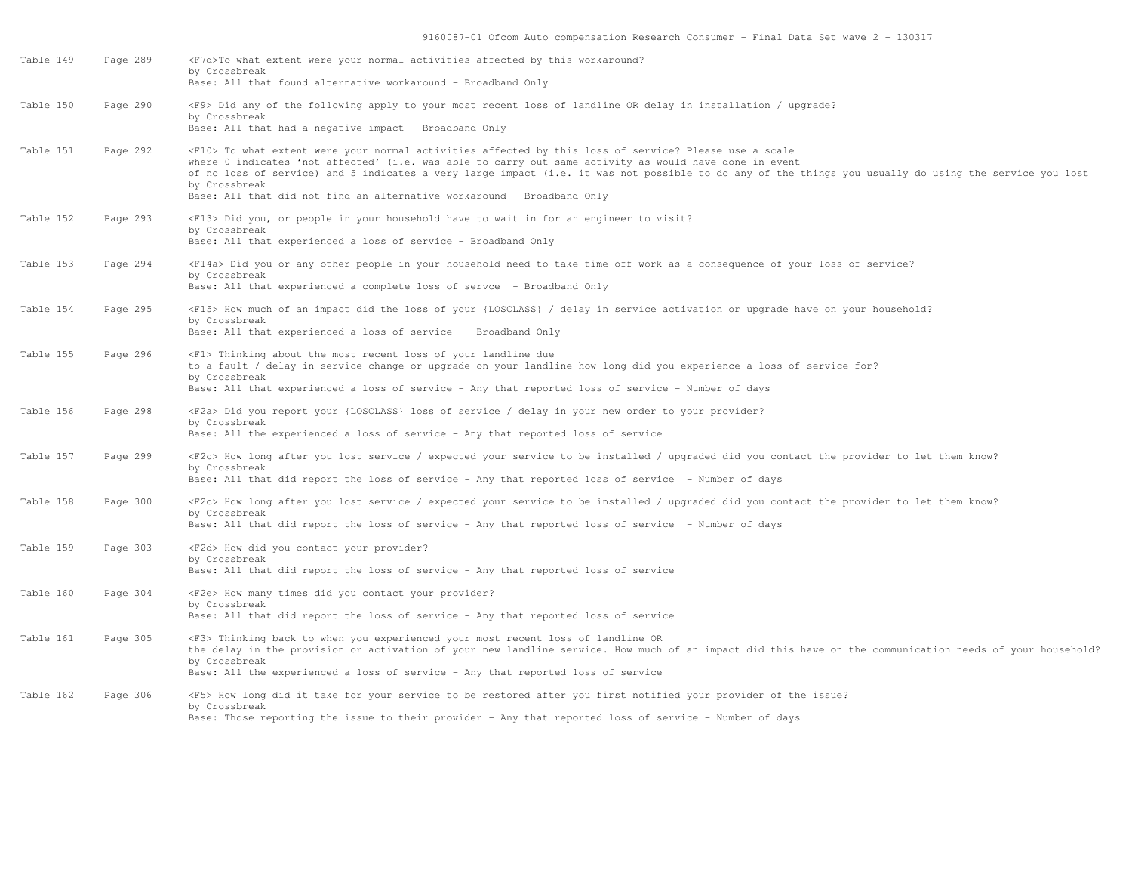| Table 149 | Page 289 | <f7d>To what extent were your normal activities affected by this workaround?<br/>by Crossbreak<br/>Base: All that found alternative workaround - Broadband Only</f7d>                                                                                                                                                                                                                                                                                                          |
|-----------|----------|--------------------------------------------------------------------------------------------------------------------------------------------------------------------------------------------------------------------------------------------------------------------------------------------------------------------------------------------------------------------------------------------------------------------------------------------------------------------------------|
| Table 150 | Page 290 | <f9> Did any of the following apply to your most recent loss of landline OR delay in installation / upgrade?<br/>by Crossbreak<br/>Base: All that had a negative impact - Broadband Only</f9>                                                                                                                                                                                                                                                                                  |
| Table 151 | Page 292 | <f10> To what extent were your normal activities affected by this loss of service? Please use a scale<br/>where 0 indicates 'not affected' (i.e. was able to carry out same activity as would have done in event<br/>of no loss of service) and 5 indicates a very large impact (i.e. it was not possible to do any of the things you usually do using the service you lost<br/>by Crossbreak<br/>Base: All that did not find an alternative workaround - Broadband Only</f10> |
| Table 152 | Page 293 | <f13> Did you, or people in your household have to wait in for an engineer to visit?<br/>by Crossbreak<br/>Base: All that experienced a loss of service - Broadband Only</f13>                                                                                                                                                                                                                                                                                                 |
| Table 153 | Page 294 | <f14a> Did you or any other people in your household need to take time off work as a consequence of your loss of service?<br/>by Crossbreak<br/>Base: All that experienced a complete loss of servce - Broadband Only</f14a>                                                                                                                                                                                                                                                   |
| Table 154 | Page 295 | <f15> How much of an impact did the loss of your {LOSCLASS} / delay in service activation or upgrade have on your household?<br/>by Crossbreak<br/>Base: All that experienced a loss of service - Broadband Only</f15>                                                                                                                                                                                                                                                         |
| Table 155 | Page 296 | <f1> Thinking about the most recent loss of your landline due<br/>to a fault / delay in service change or upgrade on your landline how long did you experience a loss of service for?<br/>by Crossbreak<br/>Base: All that experienced a loss of service - Any that reported loss of service - Number of days</f1>                                                                                                                                                             |
| Table 156 | Page 298 | F2a> Did you report your {LOSCLASS} loss of service / delay in your new order to your provider?<br>by Crossbreak<br>Base: All the experienced a loss of service - Any that reported loss of service                                                                                                                                                                                                                                                                            |
| Table 157 | Page 299 | <f2c> How long after you lost service / expected your service to be installed / upgraded did you contact the provider to let them know?<br/>by Crossbreak<br/>Base: All that did report the loss of service - Any that reported loss of service - Number of days</f2c>                                                                                                                                                                                                         |
| Table 158 | Page 300 | <f2c> How long after you lost service / expected your service to be installed / upgraded did you contact the provider to let them know?<br/>by Crossbreak<br/>Base: All that did report the loss of service - Any that reported loss of service - Number of days</f2c>                                                                                                                                                                                                         |
| Table 159 | Page 303 | <f2d> How did you contact your provider?<br/>by Crossbreak<br/>Base: All that did report the loss of service - Any that reported loss of service</f2d>                                                                                                                                                                                                                                                                                                                         |
| Table 160 | Page 304 | <f2e> How many times did you contact your provider?<br/>by Crossbreak<br/>Base: All that did report the loss of service - Any that reported loss of service</f2e>                                                                                                                                                                                                                                                                                                              |
| Table 161 | Page 305 | <f3> Thinking back to when you experienced your most recent loss of landline OR<br/>the delay in the provision or activation of your new landline service. How much of an impact did this have on the communication needs of your household?<br/>by Crossbreak<br/>Base: All the experienced a loss of service - Any that reported loss of service</f3>                                                                                                                        |
| Table 162 | Page 306 | <f5> How long did it take for your service to be restored after you first notified your provider of the issue?<br/>by Crossbreak<br/>Base: Those reporting the issue to their provider - Any that reported loss of service - Number of days</f5>                                                                                                                                                                                                                               |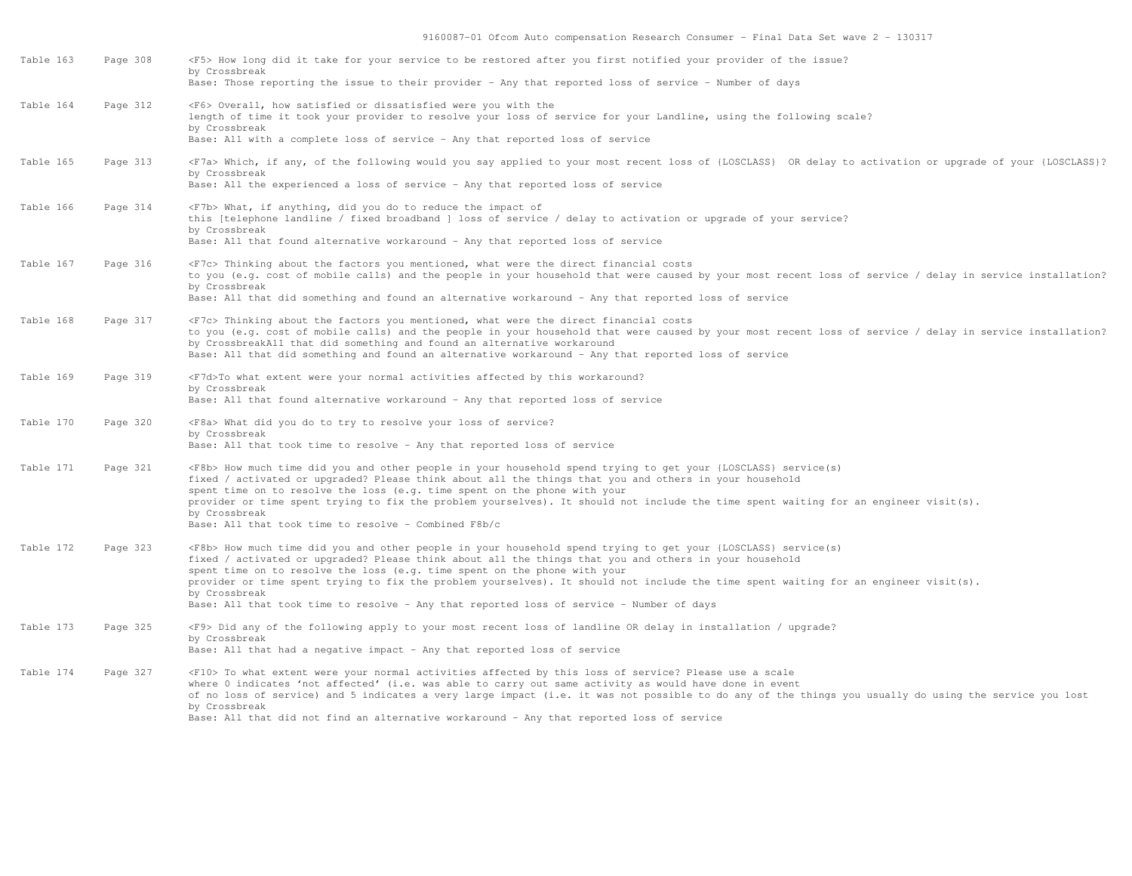| Table 163 | Page 308 | <f5> How long did it take for your service to be restored after you first notified your provider of the issue?<br/>by Crossbreak</f5>                                                                                                                                                                                                                                                                                                                                                                                                                                |
|-----------|----------|----------------------------------------------------------------------------------------------------------------------------------------------------------------------------------------------------------------------------------------------------------------------------------------------------------------------------------------------------------------------------------------------------------------------------------------------------------------------------------------------------------------------------------------------------------------------|
|           |          | Base: Those reporting the issue to their provider - Any that reported loss of service - Number of days                                                                                                                                                                                                                                                                                                                                                                                                                                                               |
| Table 164 | Page 312 | <f6> Overall, how satisfied or dissatisfied were you with the<br/>length of time it took your provider to resolve your loss of service for your Landline, using the following scale?<br/>by Crossbreak<br/>Base: All with a complete loss of service - Any that reported loss of service</f6>                                                                                                                                                                                                                                                                        |
| Table 165 | Page 313 | <f7a> Which, if any, of the following would you say applied to your most recent loss of {LOSCLASS} OR delay to activation or upgrade of your {LOSCLASS}?<br/>by Crossbreak<br/>Base: All the experienced a loss of service - Any that reported loss of service</f7a>                                                                                                                                                                                                                                                                                                 |
| Table 166 | Page 314 | <f7b> What, if anything, did you do to reduce the impact of<br/>this [telephone landline / fixed broadband ] loss of service / delay to activation or upgrade of your service?<br/>by Crossbreak<br/>Base: All that found alternative workaround - Any that reported loss of service</f7b>                                                                                                                                                                                                                                                                           |
| Table 167 | Page 316 | <f7c> Thinking about the factors you mentioned, what were the direct financial costs<br/>to you (e.g. cost of mobile calls) and the people in your household that were caused by your most recent loss of service / delay in service installation?<br/>by Crossbreak<br/>Base: All that did something and found an alternative workaround - Any that reported loss of service</f7c>                                                                                                                                                                                  |
| Table 168 | Page 317 | <f7c> Thinking about the factors you mentioned, what were the direct financial costs<br/>to you (e.g. cost of mobile calls) and the people in your household that were caused by your most recent loss of service / delay in service installation?<br/>by CrossbreakAll that did something and found an alternative workaround<br/>Base: All that did something and found an alternative workaround - Any that reported loss of service</f7c>                                                                                                                        |
| Table 169 | Page 319 | <f7d>To what extent were your normal activities affected by this workaround?<br/>by Crossbreak<br/>Base: All that found alternative workaround - Any that reported loss of service</f7d>                                                                                                                                                                                                                                                                                                                                                                             |
| Table 170 | Page 320 | <f8a> What did you do to try to resolve your loss of service?<br/>by Crossbreak<br/>Base: All that took time to resolve - Any that reported loss of service</f8a>                                                                                                                                                                                                                                                                                                                                                                                                    |
| Table 171 | Page 321 | <f8b> How much time did you and other people in your household spend trying to get your {LOSCLASS} service(s)<br/>fixed / activated or upgraded? Please think about all the things that you and others in your household<br/>spent time on to resolve the loss (e.g. time spent on the phone with your<br/>provider or time spent trying to fix the problem yourselves). It should not include the time spent waiting for an engineer visit(s).<br/>by Crossbreak<br/>Base: All that took time to resolve - Combined F8b/c</f8b>                                     |
| Table 172 | Page 323 | <f8b> How much time did you and other people in your household spend trying to get your {LOSCLASS} service(s)<br/>fixed / activated or upgraded? Please think about all the things that you and others in your household<br/>spent time on to resolve the loss (e.g. time spent on the phone with your<br/>provider or time spent trying to fix the problem yourselves). It should not include the time spent waiting for an engineer visit(s).<br/>by Crossbreak<br/>Base: All that took time to resolve - Any that reported loss of service - Number of days</f8b> |
| Table 173 | Page 325 | <f9> Did any of the following apply to your most recent loss of landline OR delay in installation / upgrade?<br/>by Crossbreak<br/>Base: All that had a negative impact - Any that reported loss of service</f9>                                                                                                                                                                                                                                                                                                                                                     |
| Table 174 | Page 327 | <f10> To what extent were your normal activities affected by this loss of service? Please use a scale<br/>where 0 indicates 'not affected' (i.e. was able to carry out same activity as would have done in event<br/>of no loss of service) and 5 indicates a very large impact (i.e. it was not possible to do any of the things you usually do using the service you lost<br/>by Crossbreak<br/>Base: All that did not find an alternative workaround - Any that reported loss of service</f10>                                                                    |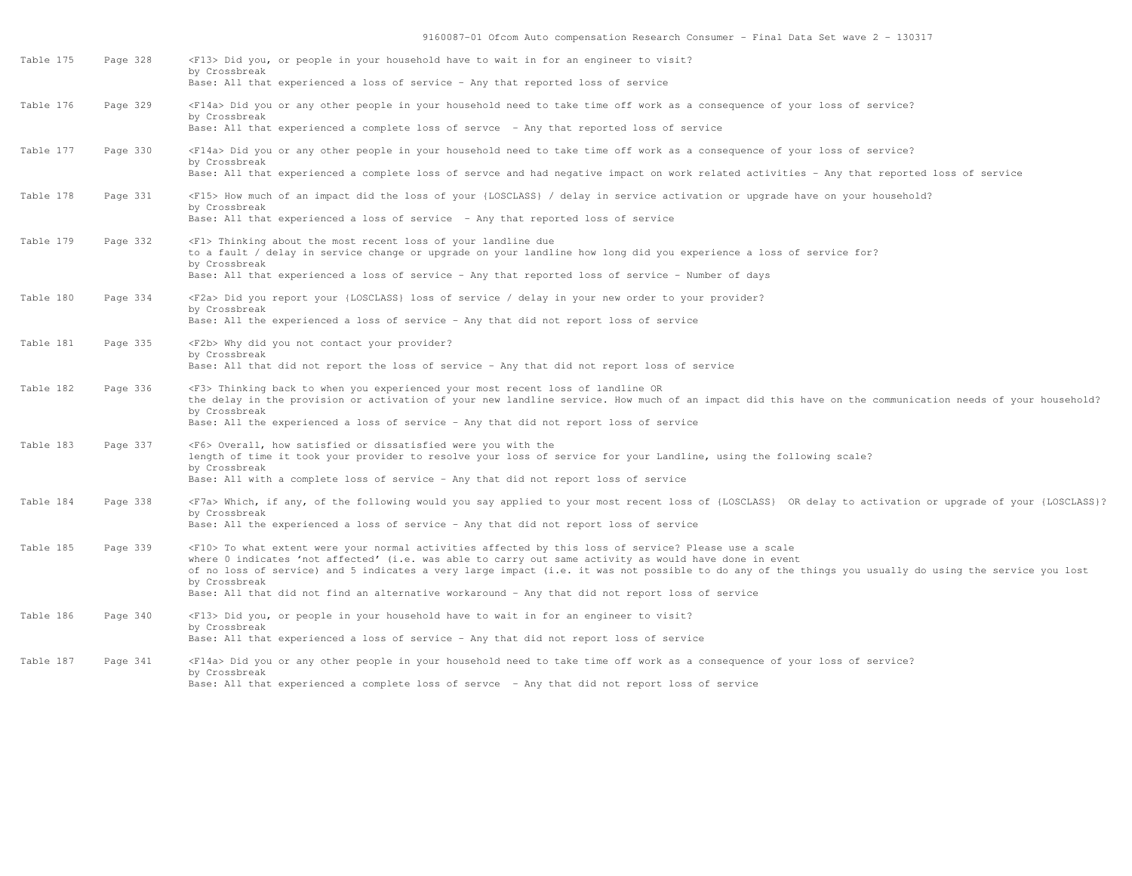| Table 175 | Page 328 | <f13> Did you, or people in your household have to wait in for an engineer to visit?<br/>by Crossbreak<br/>Base: All that experienced a loss of service - Any that reported loss of service</f13>                                                                                                                                                                                                                                                                                                       |
|-----------|----------|---------------------------------------------------------------------------------------------------------------------------------------------------------------------------------------------------------------------------------------------------------------------------------------------------------------------------------------------------------------------------------------------------------------------------------------------------------------------------------------------------------|
| Table 176 | Page 329 | <f14a> Did you or any other people in your household need to take time off work as a consequence of your loss of service?<br/>by Crossbreak<br/>Base: All that experienced a complete loss of servce - Any that reported loss of service</f14a>                                                                                                                                                                                                                                                         |
| Table 177 | Page 330 | <f14a> Did you or any other people in your household need to take time off work as a consequence of your loss of service?<br/>by Crossbreak<br/>Base: All that experienced a complete loss of servce and had negative impact on work related activities - Any that reported loss of service</f14a>                                                                                                                                                                                                      |
| Table 178 | Page 331 | <f15> How much of an impact did the loss of your {LOSCLASS} / delay in service activation or upgrade have on your household?<br/>by Crossbreak<br/>Base: All that experienced a loss of service - Any that reported loss of service</f15>                                                                                                                                                                                                                                                               |
| Table 179 | Page 332 | <f1> Thinking about the most recent loss of your landline due<br/>to a fault / delay in service change or upgrade on your landline how long did you experience a loss of service for?<br/>by Crossbreak<br/>Base: All that experienced a loss of service - Any that reported loss of service - Number of days</f1>                                                                                                                                                                                      |
| Table 180 | Page 334 | <f2a> Did you report your {LOSCLASS} loss of service / delay in your new order to your provider?<br/>by Crossbreak<br/>Base: All the experienced a loss of service - Any that did not report loss of service</f2a>                                                                                                                                                                                                                                                                                      |
| Table 181 | Page 335 | <f2b> Why did you not contact your provider?<br/>by Crossbreak<br/>Base: All that did not report the loss of service - Any that did not report loss of service</f2b>                                                                                                                                                                                                                                                                                                                                    |
| Table 182 | Page 336 | <f3> Thinking back to when you experienced your most recent loss of landline OR<br/>the delay in the provision or activation of your new landline service. How much of an impact did this have on the communication needs of your household?<br/>by Crossbreak<br/>Base: All the experienced a loss of service - Any that did not report loss of service</f3>                                                                                                                                           |
| Table 183 | Page 337 | <f6> Overall, how satisfied or dissatisfied were you with the<br/>length of time it took your provider to resolve your loss of service for your Landline, using the following scale?<br/>by Crossbreak<br/>Base: All with a complete loss of service - Any that did not report loss of service</f6>                                                                                                                                                                                                     |
| Table 184 | Page 338 | <f7a> Which, if any, of the following would you say applied to your most recent loss of {LOSCLASS} OR delay to activation or upgrade of your {LOSCLASS}?<br/>by Crossbreak<br/>Base: All the experienced a loss of service - Any that did not report loss of service</f7a>                                                                                                                                                                                                                              |
| Table 185 | Page 339 | <f10> To what extent were your normal activities affected by this loss of service? Please use a scale<br/>where 0 indicates 'not affected' (i.e. was able to carry out same activity as would have done in event<br/>of no loss of service) and 5 indicates a very large impact (i.e. it was not possible to do any of the things you usually do using the service you lost<br/>by Crossbreak<br/>Base: All that did not find an alternative workaround - Any that did not report loss of service</f10> |
| Table 186 | Page 340 | <f13> Did you, or people in your household have to wait in for an engineer to visit?<br/>by Crossbreak<br/>Base: All that experienced a loss of service - Any that did not report loss of service</f13>                                                                                                                                                                                                                                                                                                 |
| Table 187 | Page 341 | <f14a> Did you or any other people in your household need to take time off work as a consequence of your loss of service?<br/>by Crossbreak<br/>Base: All that experienced a complete loss of servce - Any that did not report loss of service</f14a>                                                                                                                                                                                                                                                   |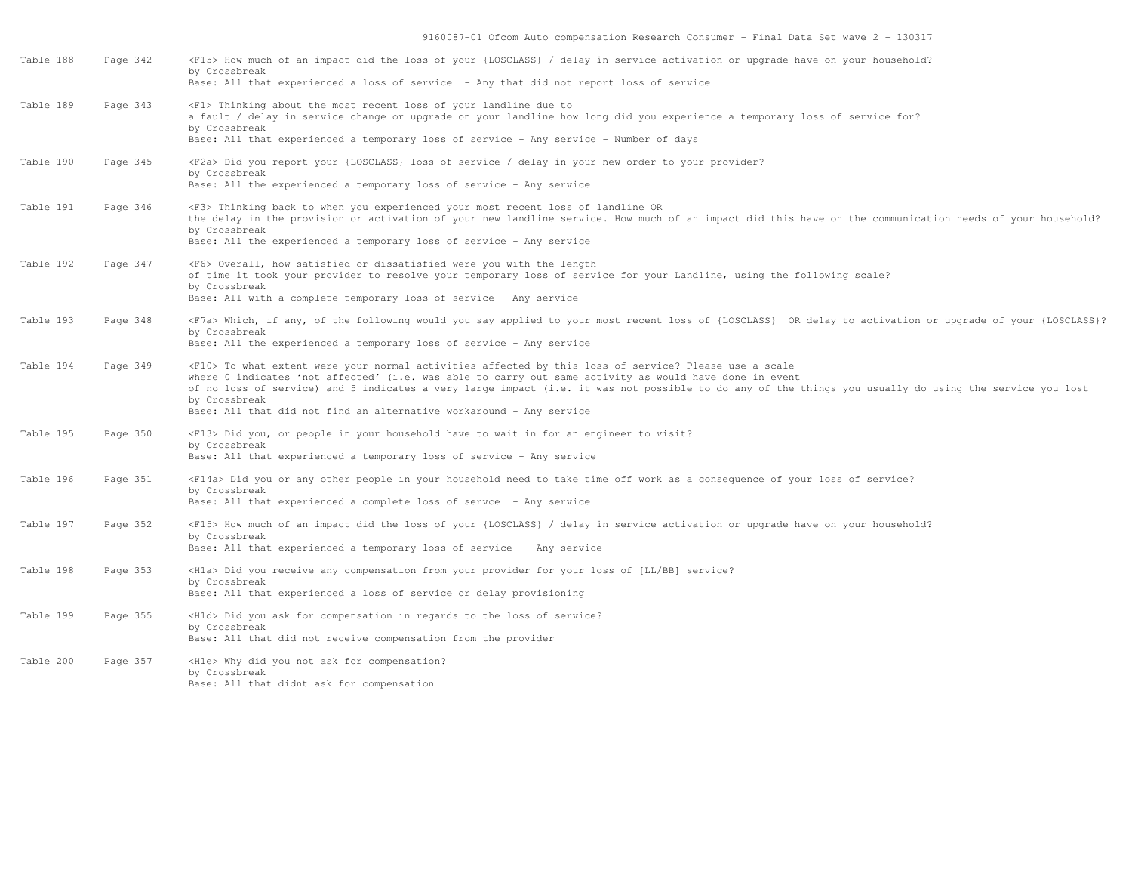| Table 188 | Page 342 | <f15> How much of an impact did the loss of your {LOSCLASS} / delay in service activation or upgrade have on your household?<br/>by Crossbreak<br/>Base: All that experienced a loss of service - Any that did not report loss of service</f15>                                                                                                                                                                                                                             |
|-----------|----------|-----------------------------------------------------------------------------------------------------------------------------------------------------------------------------------------------------------------------------------------------------------------------------------------------------------------------------------------------------------------------------------------------------------------------------------------------------------------------------|
| Table 189 | Page 343 | <f1> Thinking about the most recent loss of your landline due to<br/>a fault / delay in service change or upgrade on your landline how long did you experience a temporary loss of service for?<br/>by Crossbreak<br/>Base: All that experienced a temporary loss of service - Any service - Number of days</f1>                                                                                                                                                            |
| Table 190 | Page 345 | <f2a> Did you report your {LOSCLASS} loss of service / delay in your new order to your provider?<br/>by Crossbreak<br/>Base: All the experienced a temporary loss of service - Any service</f2a>                                                                                                                                                                                                                                                                            |
| Table 191 | Page 346 | <f3> Thinking back to when you experienced your most recent loss of landline OR<br/>the delay in the provision or activation of your new landline service. How much of an impact did this have on the communication needs of your household?<br/>by Crossbreak<br/>Base: All the experienced a temporary loss of service - Any service</f3>                                                                                                                                 |
| Table 192 | Page 347 | <f6> Overall, how satisfied or dissatisfied were you with the length<br/>of time it took your provider to resolve your temporary loss of service for your Landline, using the following scale?<br/>by Crossbreak<br/>Base: All with a complete temporary loss of service - Any service</f6>                                                                                                                                                                                 |
| Table 193 | Page 348 | <f7a> Which, if any, of the following would you say applied to your most recent loss of {LOSCLASS} OR delay to activation or upgrade of your {LOSCLASS}?<br/>by Crossbreak<br/>Base: All the experienced a temporary loss of service - Any service</f7a>                                                                                                                                                                                                                    |
| Table 194 | Page 349 | <f10> To what extent were your normal activities affected by this loss of service? Please use a scale<br/>where 0 indicates 'not affected' (i.e. was able to carry out same activity as would have done in event<br/>of no loss of service) and 5 indicates a very large impact (i.e. it was not possible to do any of the things you usually do using the service you lost<br/>by Crossbreak<br/>Base: All that did not find an alternative workaround - Any service</f10> |
| Table 195 | Page 350 | <f13> Did you, or people in your household have to wait in for an engineer to visit?<br/>by Crossbreak<br/>Base: All that experienced a temporary loss of service - Any service</f13>                                                                                                                                                                                                                                                                                       |
| Table 196 | Page 351 | <f14a> Did you or any other people in your household need to take time off work as a consequence of your loss of service?<br/>by Crossbreak<br/>Base: All that experienced a complete loss of servce - Any service</f14a>                                                                                                                                                                                                                                                   |
| Table 197 | Page 352 | <f15> How much of an impact did the loss of your {LOSCLASS} / delay in service activation or upgrade have on your household?<br/>by Crossbreak<br/>Base: All that experienced a temporary loss of service - Any service</f15>                                                                                                                                                                                                                                               |
| Table 198 | Page 353 | <hla> Did you receive any compensation from your provider for your loss of [LL/BB] service?<br/>by Crossbreak<br/>Base: All that experienced a loss of service or delay provisioning</hla>                                                                                                                                                                                                                                                                                  |
| Table 199 | Page 355 | <hld> Did you ask for compensation in regards to the loss of service?<br/>by Crossbreak<br/>Base: All that did not receive compensation from the provider</hld>                                                                                                                                                                                                                                                                                                             |
| Table 200 | Page 357 | <hle> Why did you not ask for compensation?<br/>by Crossbreak<br/>Base: All that didnt ask for compensation</hle>                                                                                                                                                                                                                                                                                                                                                           |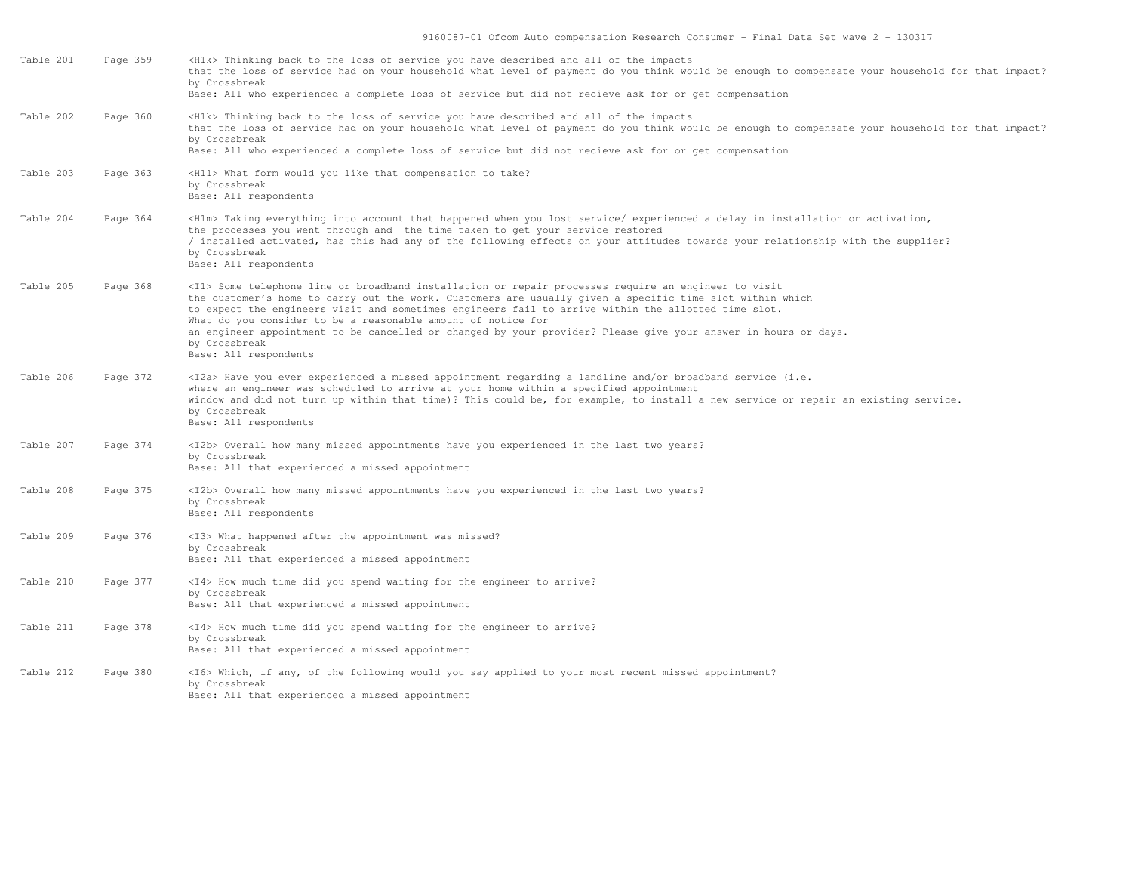| Table 201 | Page 359 | <h1k> Thinking back to the loss of service you have described and all of the impacts<br/>that the loss of service had on your household what level of payment do you think would be enough to compensate your household for that impact?<br/>by Crossbreak<br/>Base: All who experienced a complete loss of service but did not recieve ask for or get compensation</h1k>                                                                                                                                                                                     |
|-----------|----------|---------------------------------------------------------------------------------------------------------------------------------------------------------------------------------------------------------------------------------------------------------------------------------------------------------------------------------------------------------------------------------------------------------------------------------------------------------------------------------------------------------------------------------------------------------------|
| Table 202 | Page 360 | <h1k> Thinking back to the loss of service you have described and all of the impacts<br/>that the loss of service had on your household what level of payment do you think would be enough to compensate your household for that impact?<br/>by Crossbreak<br/>Base: All who experienced a complete loss of service but did not recieve ask for or get compensation</h1k>                                                                                                                                                                                     |
| Table 203 | Page 363 | <h11> What form would you like that compensation to take?<br/>by Crossbreak<br/>Base: All respondents</h11>                                                                                                                                                                                                                                                                                                                                                                                                                                                   |
| Table 204 | Page 364 | <hlm> Taking everything into account that happened when you lost service/ experienced a delay in installation or activation,<br/>the processes you went through and the time taken to get your service restored<br/>/ installed activated, has this had any of the following effects on your attitudes towards your relationship with the supplier?<br/>by Crossbreak<br/>Base: All respondents</hlm>                                                                                                                                                         |
| Table 205 | Page 368 | <il> Some telephone line or broadband installation or repair processes require an engineer to visit<br/>the customer's home to carry out the work. Customers are usually given a specific time slot within which<br/>to expect the engineers visit and sometimes engineers fail to arrive within the allotted time slot.<br/>What do you consider to be a reasonable amount of notice for<br/>an engineer appointment to be cancelled or changed by your provider? Please give your answer in hours or days.<br/>by Crossbreak<br/>Base: All respondents</il> |
| Table 206 | Page 372 | <i2a> Have you ever experienced a missed appointment regarding a landline and/or broadband service (i.e.<br/>where an engineer was scheduled to arrive at your home within a specified appointment<br/>window and did not turn up within that time)? This could be, for example, to install a new service or repair an existing service.<br/>by Crossbreak<br/>Base: All respondents</i2a>                                                                                                                                                                    |
| Table 207 | Page 374 | <i2b> Overall how many missed appointments have you experienced in the last two years?<br/>by Crossbreak<br/>Base: All that experienced a missed appointment</i2b>                                                                                                                                                                                                                                                                                                                                                                                            |
| Table 208 | Page 375 | <i2b> Overall how many missed appointments have you experienced in the last two years?<br/>by Crossbreak<br/>Base: All respondents</i2b>                                                                                                                                                                                                                                                                                                                                                                                                                      |
| Table 209 | Page 376 | <i3> What happened after the appointment was missed?<br/>by Crossbreak<br/>Base: All that experienced a missed appointment</i3>                                                                                                                                                                                                                                                                                                                                                                                                                               |
| Table 210 | Page 377 | <i4> How much time did you spend waiting for the engineer to arrive?<br/>by Crossbreak<br/>Base: All that experienced a missed appointment</i4>                                                                                                                                                                                                                                                                                                                                                                                                               |
| Table 211 | Page 378 | <i4> How much time did you spend waiting for the engineer to arrive?<br/>by Crossbreak<br/>Base: All that experienced a missed appointment</i4>                                                                                                                                                                                                                                                                                                                                                                                                               |
| Table 212 | Page 380 | <i6> Which, if any, of the following would you say applied to your most recent missed appointment?<br/>by Crossbreak<br/>Base: All that experienced a missed appointment</i6>                                                                                                                                                                                                                                                                                                                                                                                 |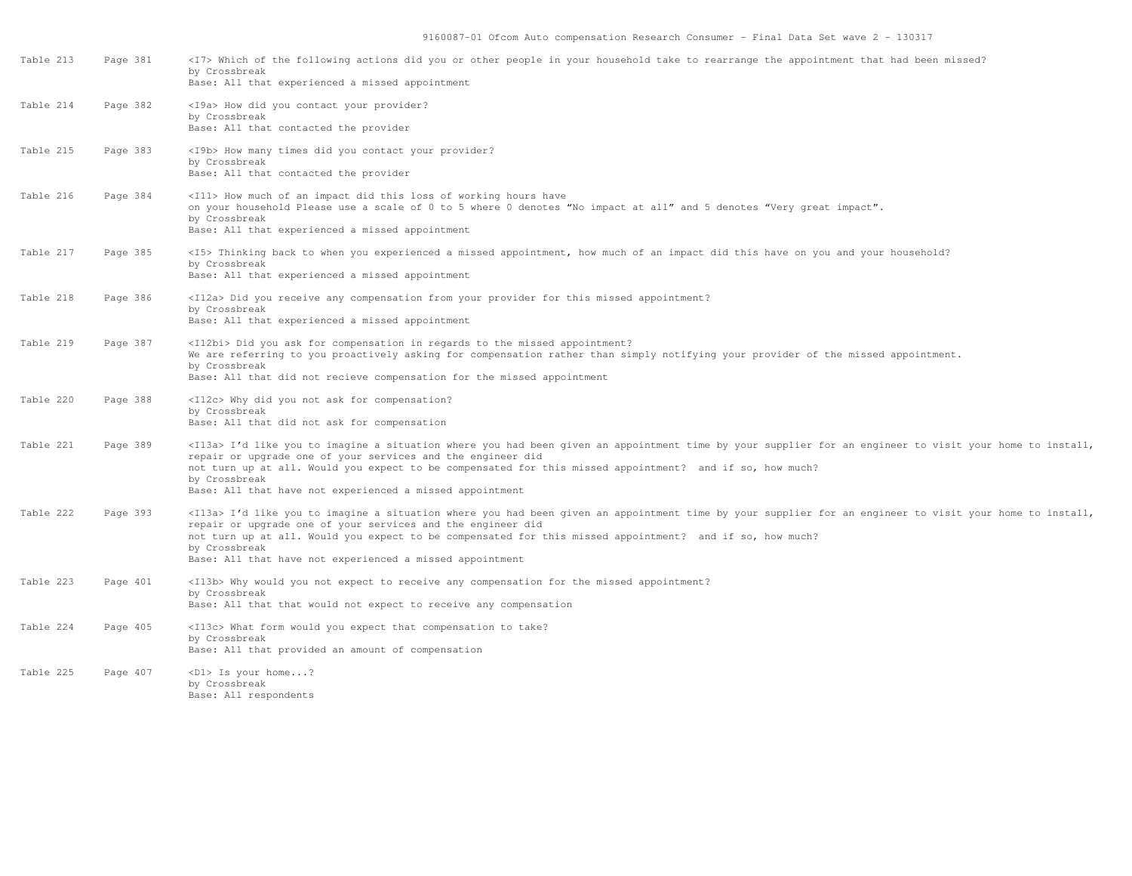| Table 213 | Page 381 | <i7> Which of the following actions did you or other people in your household take to rearrange the appointment that had been missed?<br/>by Crossbreak<br/>Base: All that experienced a missed appointment</i7>                                                                                                                                                                                                           |
|-----------|----------|----------------------------------------------------------------------------------------------------------------------------------------------------------------------------------------------------------------------------------------------------------------------------------------------------------------------------------------------------------------------------------------------------------------------------|
| Table 214 | Page 382 | <i9a> How did you contact your provider?<br/>by Crossbreak<br/>Base: All that contacted the provider</i9a>                                                                                                                                                                                                                                                                                                                 |
| Table 215 | Page 383 | <i9b> How many times did you contact your provider?<br/>by Crossbreak<br/>Base: All that contacted the provider</i9b>                                                                                                                                                                                                                                                                                                      |
| Table 216 | Page 384 | <ill> How much of an impact did this loss of working hours have<br/>on your household Please use a scale of 0 to 5 where 0 denotes "No impact at all" and 5 denotes "Very great impact".<br/>by Crossbreak<br/>Base: All that experienced a missed appointment</ill>                                                                                                                                                       |
| Table 217 | Page 385 | <i5> Thinking back to when you experienced a missed appointment, how much of an impact did this have on you and your household?<br/>by Crossbreak<br/>Base: All that experienced a missed appointment</i5>                                                                                                                                                                                                                 |
| Table 218 | Page 386 | <i12a> Did you receive any compensation from your provider for this missed appointment?<br/>by Crossbreak<br/>Base: All that experienced a missed appointment</i12a>                                                                                                                                                                                                                                                       |
| Table 219 | Page 387 | <il2bi> Did you ask for compensation in regards to the missed appointment?<br/>We are referring to you proactively asking for compensation rather than simply notifying your provider of the missed appointment.<br/>by Crossbreak<br/>Base: All that did not recieve compensation for the missed appointment</il2bi>                                                                                                      |
| Table 220 | Page 388 | <i12c> Why did you not ask for compensation?<br/>by Crossbreak<br/>Base: All that did not ask for compensation</i12c>                                                                                                                                                                                                                                                                                                      |
| Table 221 | Page 389 | <il3a> I'd like you to imagine a situation where you had been given an appointment time by your supplier for an engineer to visit your home to install,<br/>repair or upgrade one of your services and the engineer did<br/>not turn up at all. Would you expect to be compensated for this missed appointment? and if so, how much?<br/>by Crossbreak<br/>Base: All that have not experienced a missed appointment</il3a> |
| Table 222 | Page 393 | <il3a> I'd like you to imagine a situation where you had been given an appointment time by your supplier for an engineer to visit your home to install,<br/>repair or upgrade one of your services and the engineer did<br/>not turn up at all. Would you expect to be compensated for this missed appointment? and if so, how much?<br/>by Crossbreak<br/>Base: All that have not experienced a missed appointment</il3a> |
| Table 223 | Page 401 | <i13b> Why would you not expect to receive any compensation for the missed appointment?<br/>by Crossbreak<br/>Base: All that that would not expect to receive any compensation</i13b>                                                                                                                                                                                                                                      |
| Table 224 | Page 405 | <il3c> What form would you expect that compensation to take?<br/>by Crossbreak<br/>Base: All that provided an amount of compensation</il3c>                                                                                                                                                                                                                                                                                |
| Table 225 | Page 407 | <d1> Is your home?<br/>by Crossbreak<br/>Base: All respondents</d1>                                                                                                                                                                                                                                                                                                                                                        |
|           |          |                                                                                                                                                                                                                                                                                                                                                                                                                            |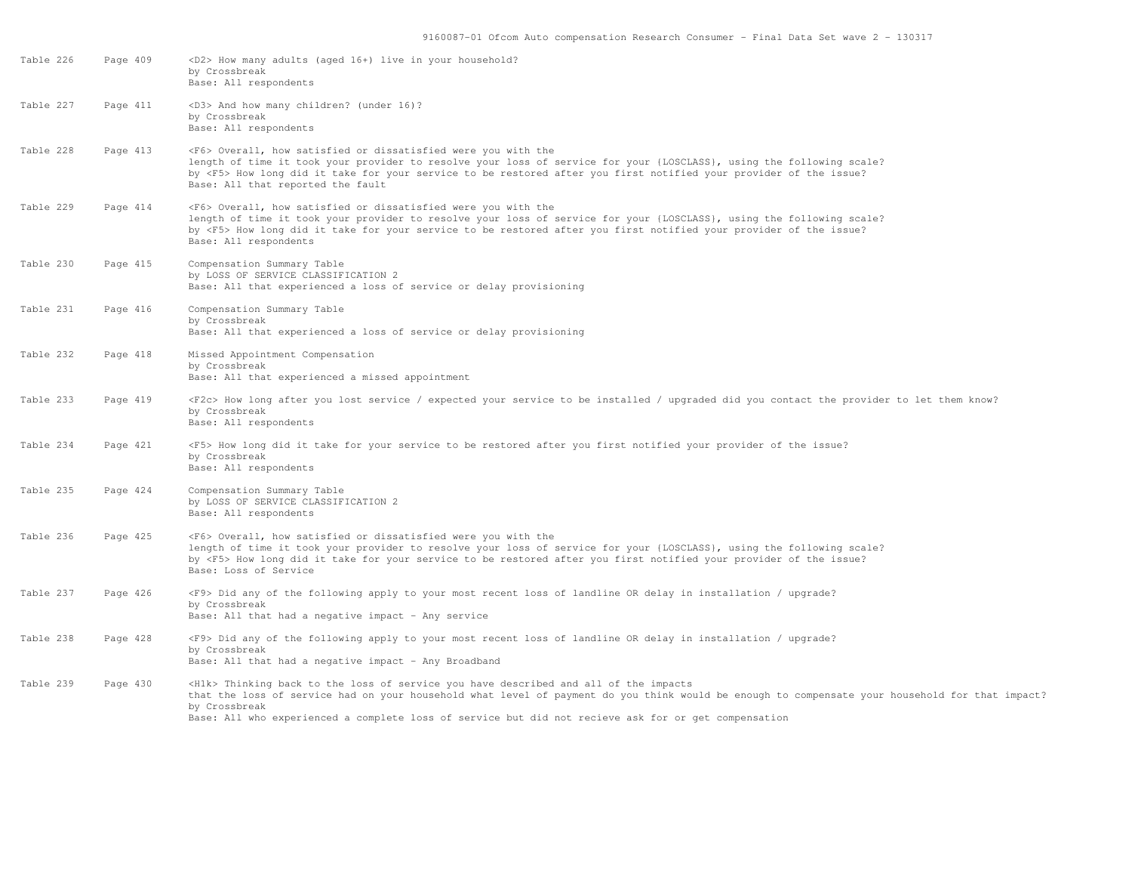| Table 226 | Page 409 | <d2> How many adults (aged 16+) live in your household?<br/>by Crossbreak<br/>Base: All respondents</d2>                                                                                                                                                                                                                                                                  |
|-----------|----------|---------------------------------------------------------------------------------------------------------------------------------------------------------------------------------------------------------------------------------------------------------------------------------------------------------------------------------------------------------------------------|
| Table 227 | Page 411 | <d3> And how many children? (under 16)?<br/>by Crossbreak<br/>Base: All respondents</d3>                                                                                                                                                                                                                                                                                  |
| Table 228 | Page 413 | <f6> Overall, how satisfied or dissatisfied were you with the<br/>length of time it took your provider to resolve your loss of service for your {LOSCLASS}, using the following scale?<br/>by <f5> How long did it take for your service to be restored after you first notified your provider of the issue?<br/>Base: All that reported the fault</f5></f6>              |
| Table 229 | Page 414 | <f6> Overall, how satisfied or dissatisfied were you with the<br/>length of time it took your provider to resolve your loss of service for your {LOSCLASS}, using the following scale?<br/>by <f5> How long did it take for your service to be restored after you first notified your provider of the issue?<br/>Base: All respondents</f5></f6>                          |
| Table 230 | Page 415 | Compensation Summary Table<br>by LOSS OF SERVICE CLASSIFICATION 2<br>Base: All that experienced a loss of service or delay provisioning                                                                                                                                                                                                                                   |
| Table 231 | Page 416 | Compensation Summary Table<br>by Crossbreak<br>Base: All that experienced a loss of service or delay provisioning                                                                                                                                                                                                                                                         |
| Table 232 | Page 418 | Missed Appointment Compensation<br>by Crossbreak<br>Base: All that experienced a missed appointment                                                                                                                                                                                                                                                                       |
| Table 233 | Page 419 | <f2c> How long after you lost service / expected your service to be installed / upgraded did you contact the provider to let them know?<br/>by Crossbreak<br/>Base: All respondents</f2c>                                                                                                                                                                                 |
| Table 234 | Page 421 | <f5> How long did it take for your service to be restored after you first notified your provider of the issue?<br/>by Crossbreak<br/>Base: All respondents</f5>                                                                                                                                                                                                           |
| Table 235 | Page 424 | Compensation Summary Table<br>by LOSS OF SERVICE CLASSIFICATION 2<br>Base: All respondents                                                                                                                                                                                                                                                                                |
| Table 236 | Page 425 | <f6> Overall, how satisfied or dissatisfied were you with the<br/>length of time it took your provider to resolve your loss of service for your {LOSCLASS}, using the following scale?<br/>by <f5> How long did it take for your service to be restored after you first notified your provider of the issue?<br/>Base: Loss of Service</f5></f6>                          |
| Table 237 | Page 426 | <f9> Did any of the following apply to your most recent loss of landline OR delay in installation / upgrade?<br/>by Crossbreak<br/>Base: All that had a negative impact - Any service</f9>                                                                                                                                                                                |
| Table 238 | Page 428 | <f9> Did any of the following apply to your most recent loss of landline OR delay in installation / upgrade?<br/>by Crossbreak<br/>Base: All that had a negative impact - Any Broadband</f9>                                                                                                                                                                              |
| Table 239 | Page 430 | <h1k> Thinking back to the loss of service you have described and all of the impacts<br/>that the loss of service had on your household what level of payment do you think would be enough to compensate your household for that impact?<br/>by Crossbreak<br/>Base: All who experienced a complete loss of service but did not recieve ask for or get compensation</h1k> |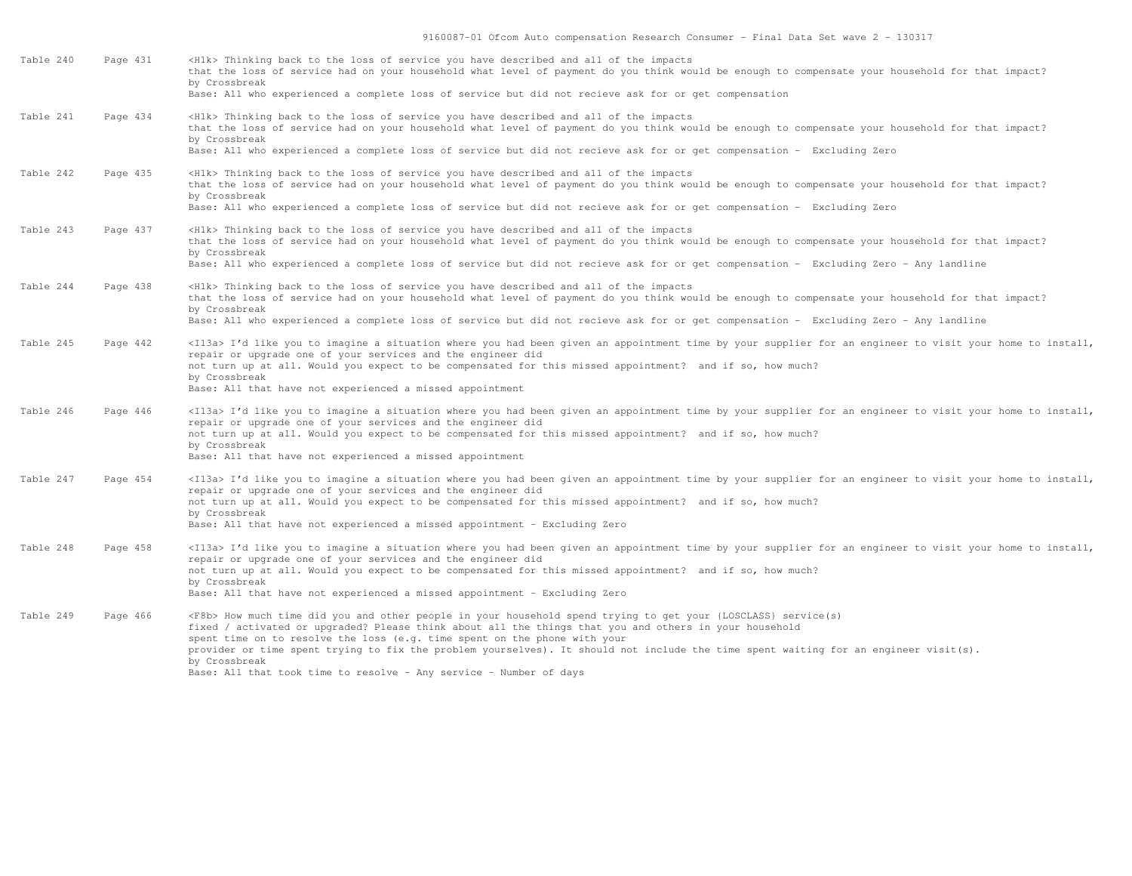9160087-01 Ofcom Auto compensation Research Consumer - Final Data Set wave 2 - 130317

| Table 240 | Page 431 | <h1k> Thinking back to the loss of service you have described and all of the impacts</h1k>                                                                                                                                     |
|-----------|----------|--------------------------------------------------------------------------------------------------------------------------------------------------------------------------------------------------------------------------------|
|           |          | that the loss of service had on your household what level of payment do you think would be enough to compensate your household for that impact?<br>by Crossbreak                                                               |
|           |          | Base: All who experienced a complete loss of service but did not recieve ask for or get compensation                                                                                                                           |
| Table 241 | Page 434 | <h1k> Thinking back to the loss of service you have described and all of the impacts</h1k>                                                                                                                                     |
|           |          | that the loss of service had on your household what level of payment do you think would be enough to compensate your household for that impact?                                                                                |
|           |          | by Crossbreak                                                                                                                                                                                                                  |
|           |          | Base: All who experienced a complete loss of service but did not recieve ask for or get compensation - Excluding Zero                                                                                                          |
| Table 242 | Page 435 | <h1k> Thinking back to the loss of service you have described and all of the impacts</h1k>                                                                                                                                     |
|           |          | that the loss of service had on your household what level of payment do you think would be enough to compensate your household for that impact?                                                                                |
|           |          | by Crossbreak<br>Base: All who experienced a complete loss of service but did not recieve ask for or get compensation - Excluding Zero                                                                                         |
|           |          |                                                                                                                                                                                                                                |
| Table 243 | Page 437 | <h1k> Thinking back to the loss of service you have described and all of the impacts</h1k>                                                                                                                                     |
|           |          | that the loss of service had on your household what level of payment do you think would be enough to compensate your household for that impact?                                                                                |
|           |          | by Crossbreak<br>Base: All who experienced a complete loss of service but did not recieve ask for or get compensation - Excluding Zero - Any landline                                                                          |
|           |          |                                                                                                                                                                                                                                |
| Table 244 | Page 438 | <h1k> Thinking back to the loss of service you have described and all of the impacts</h1k>                                                                                                                                     |
|           |          | that the loss of service had on your household what level of payment do you think would be enough to compensate your household for that impact?<br>by Crossbreak                                                               |
|           |          | Base: All who experienced a complete loss of service but did not recieve ask for or get compensation - Excluding Zero - Any landline                                                                                           |
|           |          |                                                                                                                                                                                                                                |
| Table 245 | Page 442 | <il3a> I'd like you to imagine a situation where you had been given an appointment time by your supplier for an engineer to visit your home to install,<br/>repair or upgrade one of your services and the engineer did</il3a> |
|           |          | not turn up at all. Would you expect to be compensated for this missed appointment? and if so, how much?                                                                                                                       |
|           |          | by Crossbreak                                                                                                                                                                                                                  |
|           |          | Base: All that have not experienced a missed appointment                                                                                                                                                                       |
| Table 246 | Page 446 | <il3a> I'd like you to imagine a situation where you had been given an appointment time by your supplier for an engineer to visit your home to install,</il3a>                                                                 |
|           |          | repair or upgrade one of your services and the engineer did                                                                                                                                                                    |
|           |          | not turn up at all. Would you expect to be compensated for this missed appointment? and if so, how much?<br>by Crossbreak                                                                                                      |
|           |          | Base: All that have not experienced a missed appointment                                                                                                                                                                       |
|           |          |                                                                                                                                                                                                                                |
| Table 247 | Page 454 | <il3a> I'd like you to imagine a situation where you had been given an appointment time by your supplier for an engineer to visit your home to install,</il3a>                                                                 |
|           |          | repair or upgrade one of your services and the engineer did<br>not turn up at all. Would you expect to be compensated for this missed appointment? and if so, how much?                                                        |
|           |          | by Crossbreak                                                                                                                                                                                                                  |
|           |          | Base: All that have not experienced a missed appointment - Excluding Zero                                                                                                                                                      |
| Table 248 | Page 458 | <il3a> I'd like you to imagine a situation where you had been given an appointment time by your supplier for an engineer to visit your home to install,</il3a>                                                                 |
|           |          | repair or upgrade one of your services and the engineer did                                                                                                                                                                    |
|           |          | not turn up at all. Would you expect to be compensated for this missed appointment? and if so, how much?                                                                                                                       |
|           |          | by Crossbreak<br>Base: All that have not experienced a missed appointment - Excluding Zero                                                                                                                                     |
|           |          |                                                                                                                                                                                                                                |
| Table 249 | Page 466 | <f8b> How much time did you and other people in your household spend trying to get your {LOSCLASS} service(s)</f8b>                                                                                                            |
|           |          | fixed / activated or upgraded? Please think about all the things that you and others in your household<br>spent time on to resolve the loss (e.g. time spent on the phone with your                                            |
|           |          | provider or time spent trying to fix the problem yourselves). It should not include the time spent waiting for an engineer visit(s).                                                                                           |
|           |          | by Crossbreak                                                                                                                                                                                                                  |
|           |          | Base: All that took time to resolve - Any service - Number of days                                                                                                                                                             |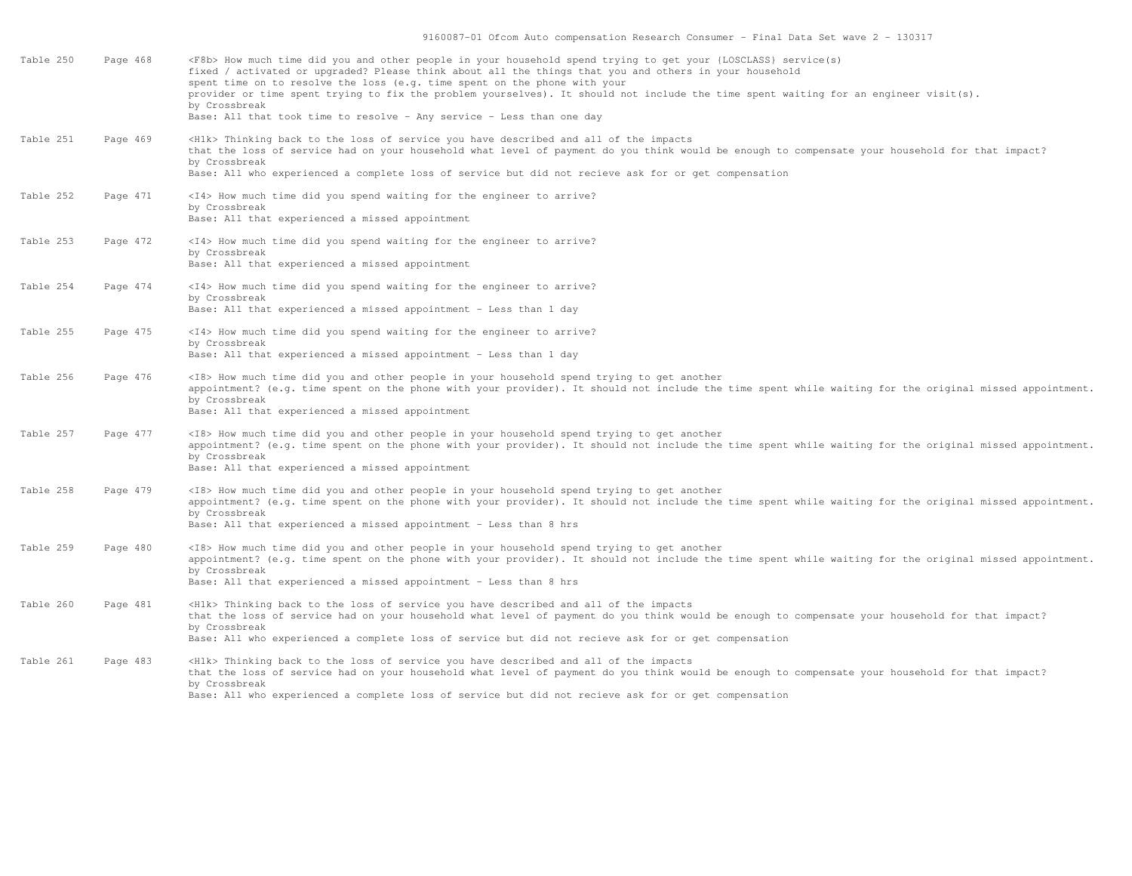| Table 250 | Page 468 | <f8b> How much time did you and other people in your household spend trying to get your {LOSCLASS} service(s)<br/>fixed / activated or upgraded? Please think about all the things that you and others in your household<br/>spent time on to resolve the loss (e.g. time spent on the phone with your<br/>provider or time spent trying to fix the problem yourselves). It should not include the time spent waiting for an engineer visit(s).<br/>by Crossbreak<br/>Base: All that took time to resolve - Any service - Less than one day</f8b> |
|-----------|----------|---------------------------------------------------------------------------------------------------------------------------------------------------------------------------------------------------------------------------------------------------------------------------------------------------------------------------------------------------------------------------------------------------------------------------------------------------------------------------------------------------------------------------------------------------|
| Table 251 | Page 469 | <h1k> Thinking back to the loss of service you have described and all of the impacts<br/>that the loss of service had on your household what level of payment do you think would be enough to compensate your household for that impact?<br/>by Crossbreak<br/>Base: All who experienced a complete loss of service but did not recieve ask for or get compensation</h1k>                                                                                                                                                                         |
| Table 252 | Page 471 | <i4> How much time did you spend waiting for the engineer to arrive?<br/>by Crossbreak<br/>Base: All that experienced a missed appointment</i4>                                                                                                                                                                                                                                                                                                                                                                                                   |
| Table 253 | Page 472 | <i4> How much time did you spend waiting for the engineer to arrive?<br/>by Crossbreak<br/>Base: All that experienced a missed appointment</i4>                                                                                                                                                                                                                                                                                                                                                                                                   |
| Table 254 | Page 474 | <i4> How much time did you spend waiting for the engineer to arrive?<br/>by Crossbreak<br/>Base: All that experienced a missed appointment - Less than 1 day</i4>                                                                                                                                                                                                                                                                                                                                                                                 |
| Table 255 | Page 475 | <i4> How much time did you spend waiting for the engineer to arrive?<br/>by Crossbreak<br/>Base: All that experienced a missed appointment - Less than 1 day</i4>                                                                                                                                                                                                                                                                                                                                                                                 |
| Table 256 | Page 476 | <i8> How much time did you and other people in your household spend trying to get another<br/>appointment? (e.g. time spent on the phone with your provider). It should not include the time spent while waiting for the original missed appointment.<br/>by Crossbreak<br/>Base: All that experienced a missed appointment</i8>                                                                                                                                                                                                                  |
| Table 257 | Page 477 | <i8> How much time did you and other people in your household spend trying to get another<br/>appointment? (e.g. time spent on the phone with your provider). It should not include the time spent while waiting for the original missed appointment.<br/>by Crossbreak<br/>Base: All that experienced a missed appointment</i8>                                                                                                                                                                                                                  |
| Table 258 | Page 479 | <i8> How much time did you and other people in your household spend trying to get another<br/>appointment? (e.g. time spent on the phone with your provider). It should not include the time spent while waiting for the original missed appointment.<br/>by Crossbreak<br/>Base: All that experienced a missed appointment - Less than 8 hrs</i8>                                                                                                                                                                                                |
| Table 259 | Page 480 | <i8> How much time did you and other people in your household spend trying to get another<br/>appointment? (e.g. time spent on the phone with your provider). It should not include the time spent while waiting for the original missed appointment.<br/>by Crossbreak<br/>Base: All that experienced a missed appointment - Less than 8 hrs</i8>                                                                                                                                                                                                |
| Table 260 | Page 481 | <h1k> Thinking back to the loss of service you have described and all of the impacts<br/>that the loss of service had on your household what level of payment do you think would be enough to compensate your household for that impact?<br/>by Crossbreak<br/>Base: All who experienced a complete loss of service but did not recieve ask for or get compensation</h1k>                                                                                                                                                                         |
| Table 261 | Page 483 | <h1k> Thinking back to the loss of service you have described and all of the impacts<br/>that the loss of service had on your household what level of payment do you think would be enough to compensate your household for that impact?<br/>by Crossbreak<br/>Base: All who experienced a complete loss of service but did not recieve ask for or get compensation</h1k>                                                                                                                                                                         |